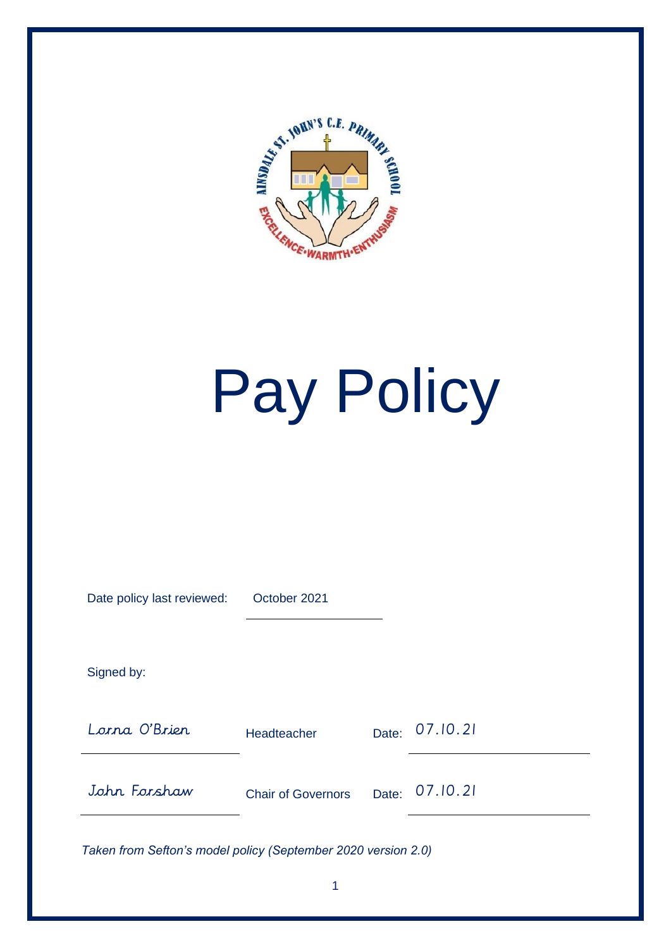

# Pay Policy

| Date policy last reviewed: | October 2021              |       |          |
|----------------------------|---------------------------|-------|----------|
| Signed by:                 |                           |       |          |
| Lorna O'Brier              | Headteacher               | Date: | 07.10.21 |
| John Forshaw               | <b>Chair of Governors</b> | Date: | 07.10.21 |
|                            |                           |       |          |

*Taken from Sefton's model policy (September 2020 version 2.0)*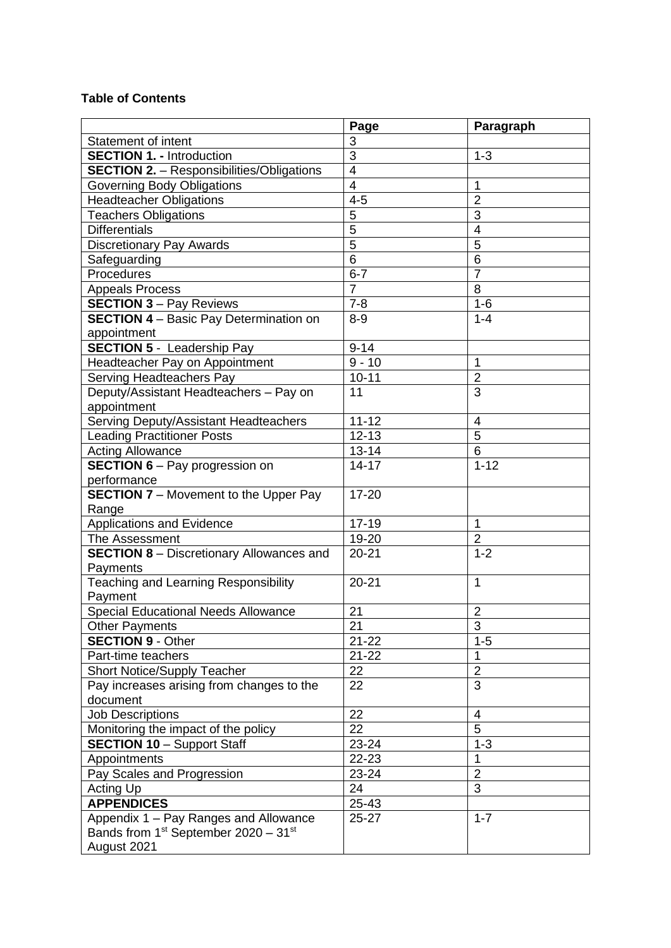## **Table of Contents**

|                                                              | Page           | Paragraph      |
|--------------------------------------------------------------|----------------|----------------|
| <b>Statement of intent</b>                                   | 3              |                |
| <b>SECTION 1. - Introduction</b>                             | $\overline{3}$ | $1 - 3$        |
| <b>SECTION 2.</b> - Responsibilities/Obligations             | $\overline{4}$ |                |
| <b>Governing Body Obligations</b>                            | $\overline{4}$ | 1              |
| <b>Headteacher Obligations</b>                               | $4 - 5$        | $\overline{2}$ |
| <b>Teachers Obligations</b>                                  | $\overline{5}$ | 3              |
| <b>Differentials</b>                                         | $\overline{5}$ | $\overline{4}$ |
| <b>Discretionary Pay Awards</b>                              | $\overline{5}$ | 5              |
| Safeguarding                                                 | $\overline{6}$ | 6              |
| Procedures                                                   | $6 - 7$        | $\overline{7}$ |
| <b>Appeals Process</b>                                       | $\overline{7}$ | 8              |
| <b>SECTION 3 - Pay Reviews</b>                               | $7 - 8$        | $1-6$          |
| <b>SECTION 4 - Basic Pay Determination on</b>                | $8 - 9$        | $1 - 4$        |
| appointment                                                  |                |                |
| <b>SECTION 5 - Leadership Pay</b>                            | $9 - 14$       |                |
| Headteacher Pay on Appointment                               | $9 - 10$       | 1              |
| Serving Headteachers Pay                                     | $10 - 11$      | $\overline{2}$ |
| Deputy/Assistant Headteachers - Pay on                       | 11             | 3              |
| appointment                                                  |                |                |
| Serving Deputy/Assistant Headteachers                        | $11 - 12$      | 4              |
| <b>Leading Practitioner Posts</b>                            | $12 - 13$      | 5              |
| <b>Acting Allowance</b>                                      | $13 - 14$      | 6              |
| <b>SECTION 6</b> – Pay progression on                        | $14 - 17$      | $1 - 12$       |
| performance                                                  |                |                |
| <b>SECTION 7</b> - Movement to the Upper Pay                 | 17-20          |                |
| Range                                                        |                |                |
| <b>Applications and Evidence</b>                             | $17 - 19$      | 1              |
| The Assessment                                               | 19-20          | $\overline{c}$ |
| <b>SECTION 8 - Discretionary Allowances and</b>              | $20 - 21$      | $1 - 2$        |
| Payments                                                     |                |                |
| Teaching and Learning Responsibility                         | $20 - 21$      | $\mathbf{1}$   |
| Payment                                                      |                |                |
| <b>Special Educational Needs Allowance</b>                   | 21             | $\overline{2}$ |
| <b>Other Payments</b>                                        | 21             | 3              |
| <b>SECTION 9 - Other</b>                                     | $21 - 22$      | $1 - 5$        |
| Part-time teachers                                           | $21 - 22$      | 1              |
| <b>Short Notice/Supply Teacher</b>                           | 22             | $\overline{2}$ |
| Pay increases arising from changes to the                    | 22             | 3              |
| document                                                     |                |                |
| <b>Job Descriptions</b>                                      | 22             | 4              |
| Monitoring the impact of the policy                          | 22             | 5              |
| <b>SECTION 10 - Support Staff</b>                            | 23-24          | $1 - 3$        |
| Appointments                                                 | 22-23          | 1              |
| Pay Scales and Progression                                   | 23-24          | $\overline{2}$ |
| <b>Acting Up</b>                                             | 24             | $\overline{3}$ |
| <b>APPENDICES</b>                                            | 25-43          |                |
| Appendix 1 - Pay Ranges and Allowance                        | $25 - 27$      | $1 - 7$        |
| Bands from 1 <sup>st</sup> September 2020 - 31 <sup>st</sup> |                |                |
| August 2021                                                  |                |                |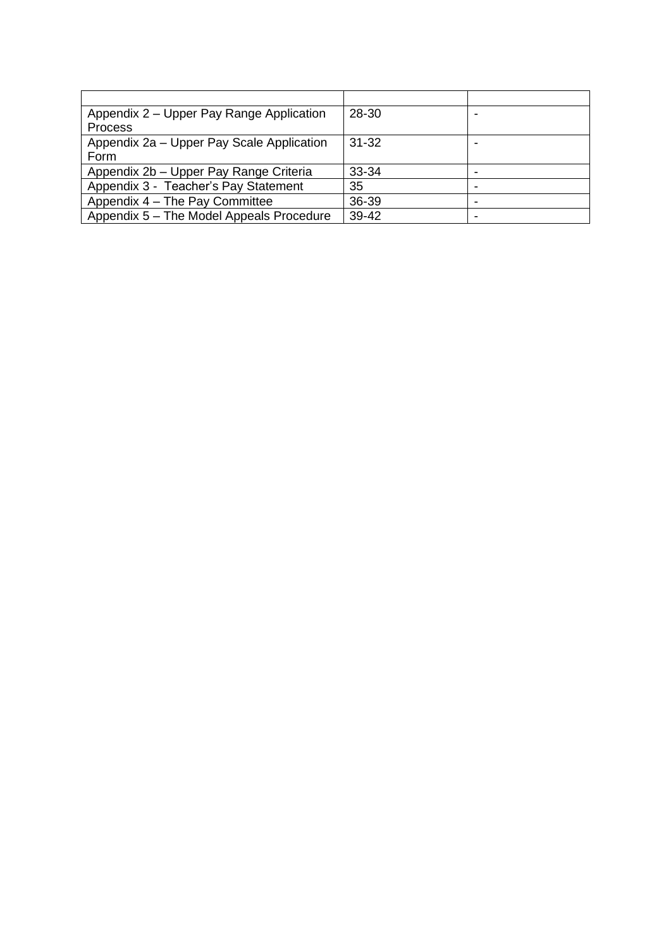| Appendix 2 – Upper Pay Range Application  | 28-30     |  |
|-------------------------------------------|-----------|--|
| <b>Process</b>                            |           |  |
| Appendix 2a – Upper Pay Scale Application | $31 - 32$ |  |
| Form                                      |           |  |
| Appendix 2b - Upper Pay Range Criteria    | $33 - 34$ |  |
| Appendix 3 - Teacher's Pay Statement      | 35        |  |
| Appendix 4 - The Pay Committee            | 36-39     |  |
| Appendix 5 - The Model Appeals Procedure  | 39-42     |  |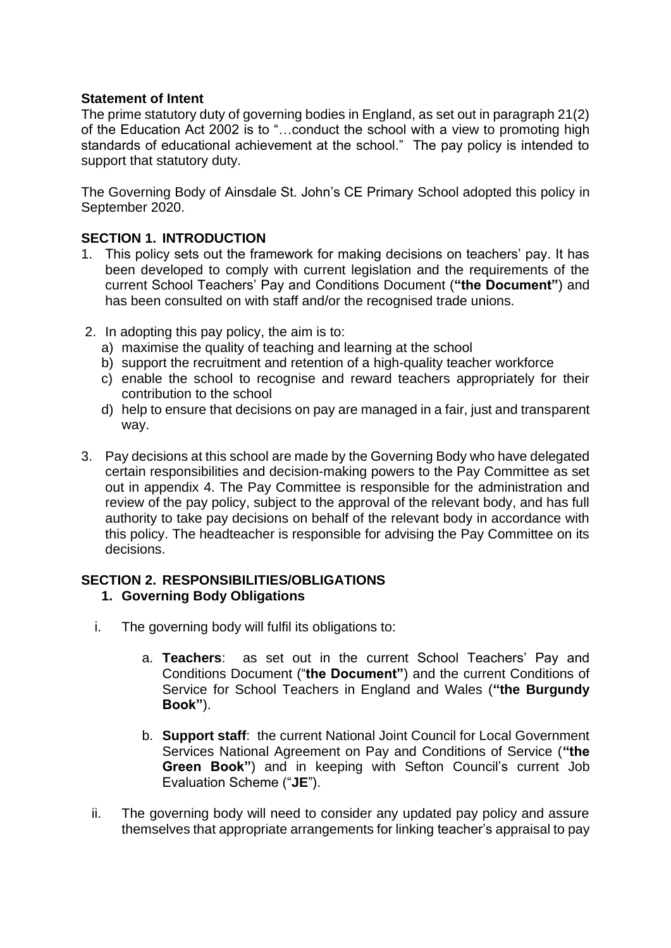# **Statement of Intent**

The prime statutory duty of governing bodies in England, as set out in paragraph 21(2) of the Education Act 2002 is to "…conduct the school with a view to promoting high standards of educational achievement at the school." The pay policy is intended to support that statutory duty.

The Governing Body of Ainsdale St. John's CE Primary School adopted this policy in September 2020.

## **SECTION 1. INTRODUCTION**

- 1. This policy sets out the framework for making decisions on teachers' pay. It has been developed to comply with current legislation and the requirements of the current School Teachers' Pay and Conditions Document (**"the Document"**) and has been consulted on with staff and/or the recognised trade unions.
- 2. In adopting this pay policy, the aim is to:
	- a) maximise the quality of teaching and learning at the school
	- b) support the recruitment and retention of a high-quality teacher workforce
	- c) enable the school to recognise and reward teachers appropriately for their contribution to the school
	- d) help to ensure that decisions on pay are managed in a fair, just and transparent way.
- 3. Pay decisions at this school are made by the Governing Body who have delegated certain responsibilities and decision-making powers to the Pay Committee as set out in appendix 4. The Pay Committee is responsible for the administration and review of the pay policy, subject to the approval of the relevant body, and has full authority to take pay decisions on behalf of the relevant body in accordance with this policy. The headteacher is responsible for advising the Pay Committee on its decisions.

# **SECTION 2. RESPONSIBILITIES/OBLIGATIONS**

# **1. Governing Body Obligations**

- i. The governing body will fulfil its obligations to:
	- a. **Teachers**: as set out in the current School Teachers' Pay and Conditions Document ("**the Document"**) and the current Conditions of Service for School Teachers in England and Wales (**"the Burgundy Book"**).
	- b. **Support staff**: the current National Joint Council for Local Government Services National Agreement on Pay and Conditions of Service (**"the Green Book"**) and in keeping with Sefton Council's current Job Evaluation Scheme ("**JE**").
- ii. The governing body will need to consider any updated pay policy and assure themselves that appropriate arrangements for linking teacher's appraisal to pay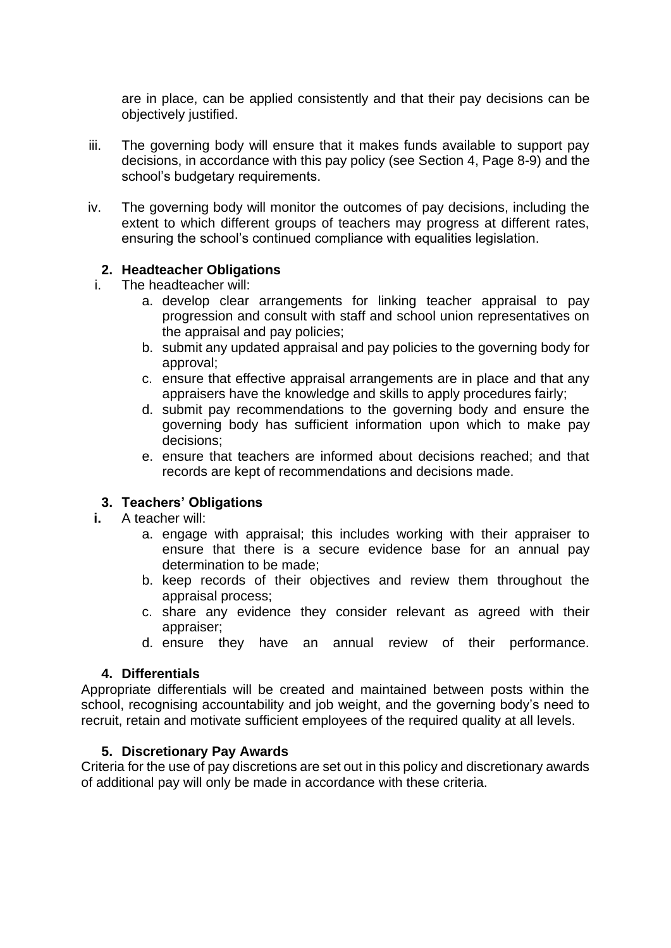are in place, can be applied consistently and that their pay decisions can be objectively justified.

- iii. The governing body will ensure that it makes funds available to support pay decisions, in accordance with this pay policy (see Section 4, Page 8-9) and the school's budgetary requirements.
- iv. The governing body will monitor the outcomes of pay decisions, including the extent to which different groups of teachers may progress at different rates, ensuring the school's continued compliance with equalities legislation.

## **2. Headteacher Obligations**

- i. The headteacher will:
	- a. develop clear arrangements for linking teacher appraisal to pay progression and consult with staff and school union representatives on the appraisal and pay policies;
	- b. submit any updated appraisal and pay policies to the governing body for approval;
	- c. ensure that effective appraisal arrangements are in place and that any appraisers have the knowledge and skills to apply procedures fairly;
	- d. submit pay recommendations to the governing body and ensure the governing body has sufficient information upon which to make pay decisions;
	- e. ensure that teachers are informed about decisions reached; and that records are kept of recommendations and decisions made.

## **3. Teachers' Obligations**

- **i.** A teacher will:
	- a. engage with appraisal; this includes working with their appraiser to ensure that there is a secure evidence base for an annual pay determination to be made;
	- b. keep records of their objectives and review them throughout the appraisal process;
	- c. share any evidence they consider relevant as agreed with their appraiser;
	- d. ensure they have an annual review of their performance.

## **4. Differentials**

Appropriate differentials will be created and maintained between posts within the school, recognising accountability and job weight, and the governing body's need to recruit, retain and motivate sufficient employees of the required quality at all levels.

## **5. Discretionary Pay Awards**

Criteria for the use of pay discretions are set out in this policy and discretionary awards of additional pay will only be made in accordance with these criteria.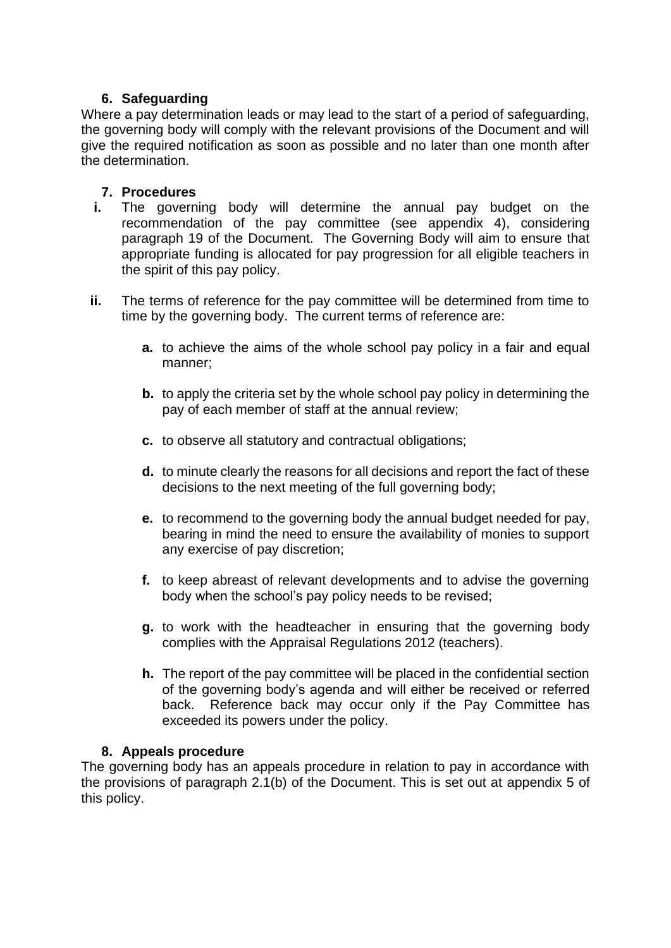# **6. Safeguarding**

Where a pay determination leads or may lead to the start of a period of safeguarding, the governing body will comply with the relevant provisions of the Document and will give the required notification as soon as possible and no later than one month after the determination.

## **7. Procedures**

- **i.** The governing body will determine the annual pay budget on the recommendation of the pay committee (see appendix 4), considering paragraph 19 of the Document. The Governing Body will aim to ensure that appropriate funding is allocated for pay progression for all eligible teachers in the spirit of this pay policy.
- **ii.** The terms of reference for the pay committee will be determined from time to time by the governing body. The current terms of reference are:
	- **a.** to achieve the aims of the whole school pay policy in a fair and equal manner;
	- **b.** to apply the criteria set by the whole school pay policy in determining the pay of each member of staff at the annual review;
	- **c.** to observe all statutory and contractual obligations;
	- **d.** to minute clearly the reasons for all decisions and report the fact of these decisions to the next meeting of the full governing body;
	- **e.** to recommend to the governing body the annual budget needed for pay, bearing in mind the need to ensure the availability of monies to support any exercise of pay discretion;
	- **f.** to keep abreast of relevant developments and to advise the governing body when the school's pay policy needs to be revised;
	- **g.** to work with the headteacher in ensuring that the governing body complies with the Appraisal Regulations 2012 (teachers).
	- **h.** The report of the pay committee will be placed in the confidential section of the governing body's agenda and will either be received or referred back. Reference back may occur only if the Pay Committee has exceeded its powers under the policy.

# **8. Appeals procedure**

The governing body has an appeals procedure in relation to pay in accordance with the provisions of paragraph 2.1(b) of the Document. This is set out at appendix 5 of this policy.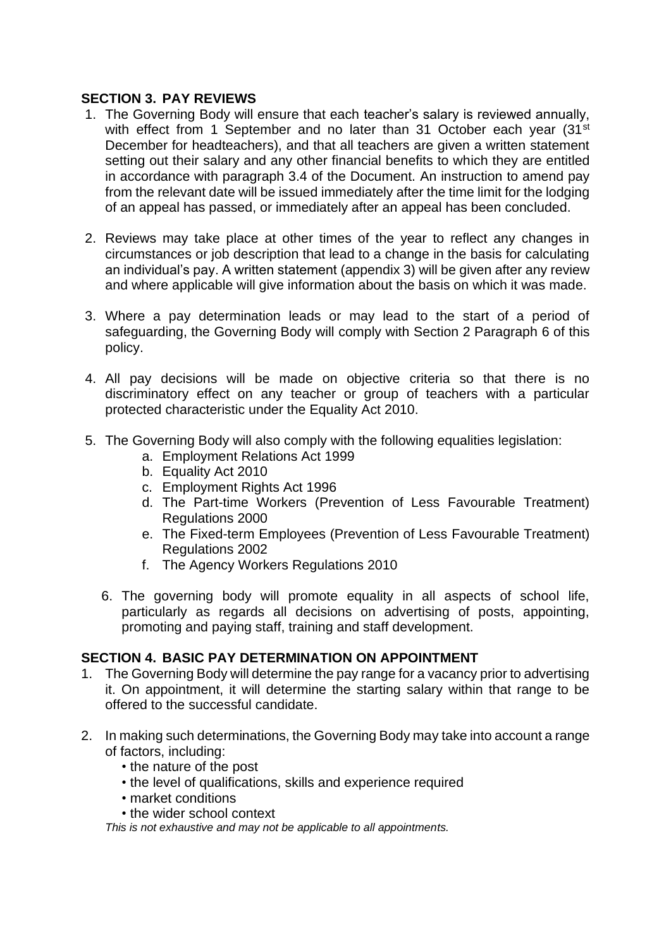# **SECTION 3. PAY REVIEWS**

- 1. The Governing Body will ensure that each teacher's salary is reviewed annually, with effect from 1 September and no later than 31 October each year (31<sup>st</sup>) December for headteachers), and that all teachers are given a written statement setting out their salary and any other financial benefits to which they are entitled in accordance with paragraph 3.4 of the Document. An instruction to amend pay from the relevant date will be issued immediately after the time limit for the lodging of an appeal has passed, or immediately after an appeal has been concluded.
- 2. Reviews may take place at other times of the year to reflect any changes in circumstances or job description that lead to a change in the basis for calculating an individual's pay. A written statement (appendix 3) will be given after any review and where applicable will give information about the basis on which it was made.
- 3. Where a pay determination leads or may lead to the start of a period of safeguarding, the Governing Body will comply with Section 2 Paragraph 6 of this policy.
- 4. All pay decisions will be made on objective criteria so that there is no discriminatory effect on any teacher or group of teachers with a particular protected characteristic under the Equality Act 2010.
- 5. The Governing Body will also comply with the following equalities legislation:
	- a. Employment Relations Act 1999
	- b. Equality Act 2010
	- c. Employment Rights Act 1996
	- d. The Part-time Workers (Prevention of Less Favourable Treatment) Regulations 2000
	- e. The Fixed-term Employees (Prevention of Less Favourable Treatment) Regulations 2002
	- f. The Agency Workers Regulations 2010
	- 6. The governing body will promote equality in all aspects of school life, particularly as regards all decisions on advertising of posts, appointing, promoting and paying staff, training and staff development.

## **SECTION 4. BASIC PAY DETERMINATION ON APPOINTMENT**

- 1. The Governing Body will determine the pay range for a vacancy prior to advertising it. On appointment, it will determine the starting salary within that range to be offered to the successful candidate.
- 2. In making such determinations, the Governing Body may take into account a range of factors, including:
	- the nature of the post
	- the level of qualifications, skills and experience required
	- market conditions
	- the wider school context

*This is not exhaustive and may not be applicable to all appointments.*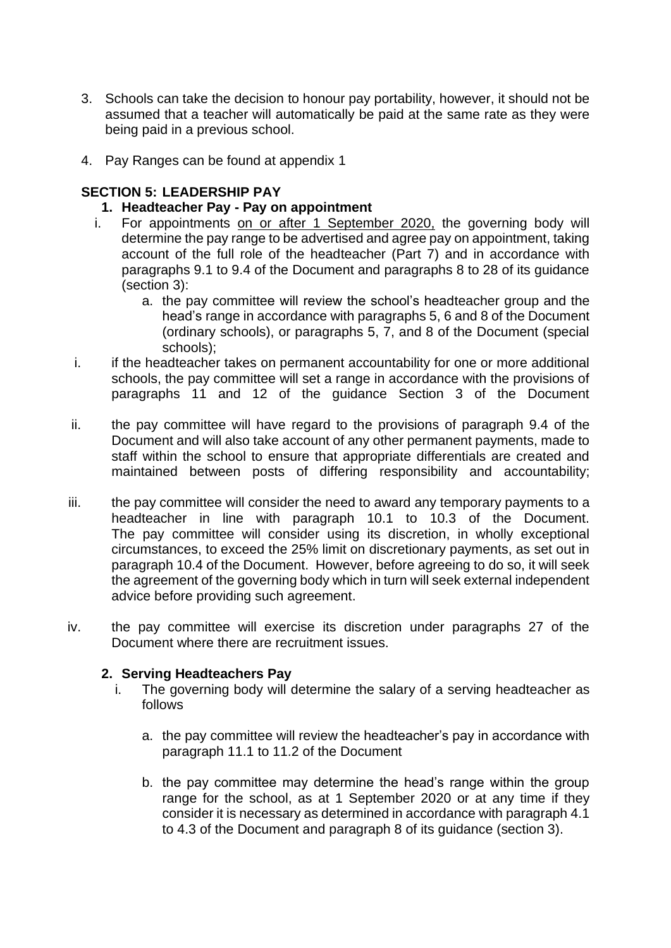- 3. Schools can take the decision to honour pay portability, however, it should not be assumed that a teacher will automatically be paid at the same rate as they were being paid in a previous school.
- 4. Pay Ranges can be found at appendix 1

# **SECTION 5: LEADERSHIP PAY**

- **1. Headteacher Pay - Pay on appointment**
- i. For appointments on or after 1 September 2020, the governing body will determine the pay range to be advertised and agree pay on appointment, taking account of the full role of the headteacher (Part 7) and in accordance with paragraphs 9.1 to 9.4 of the Document and paragraphs 8 to 28 of its guidance (section 3):
	- a. the pay committee will review the school's headteacher group and the head's range in accordance with paragraphs 5, 6 and 8 of the Document (ordinary schools), or paragraphs 5, 7, and 8 of the Document (special schools);
- i. if the headteacher takes on permanent accountability for one or more additional schools, the pay committee will set a range in accordance with the provisions of paragraphs 11 and 12 of the guidance Section 3 of the Document
- ii. the pay committee will have regard to the provisions of paragraph 9.4 of the Document and will also take account of any other permanent payments, made to staff within the school to ensure that appropriate differentials are created and maintained between posts of differing responsibility and accountability;
- iii. the pay committee will consider the need to award any temporary payments to a headteacher in line with paragraph 10.1 to 10.3 of the Document. The pay committee will consider using its discretion, in wholly exceptional circumstances, to exceed the 25% limit on discretionary payments, as set out in paragraph 10.4 of the Document. However, before agreeing to do so, it will seek the agreement of the governing body which in turn will seek external independent advice before providing such agreement.
- iv. the pay committee will exercise its discretion under paragraphs 27 of the Document where there are recruitment issues.

## **2. Serving Headteachers Pay**

- i. The governing body will determine the salary of a serving headteacher as follows
	- a. the pay committee will review the headteacher's pay in accordance with paragraph 11.1 to 11.2 of the Document
	- b. the pay committee may determine the head's range within the group range for the school, as at 1 September 2020 or at any time if they consider it is necessary as determined in accordance with paragraph 4.1 to 4.3 of the Document and paragraph 8 of its guidance (section 3).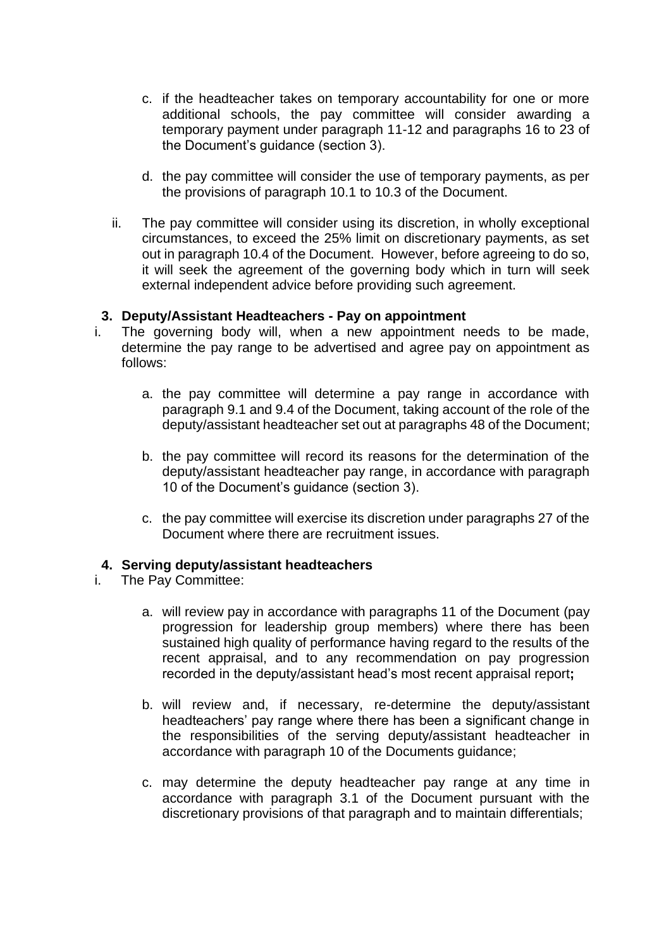- c. if the headteacher takes on temporary accountability for one or more additional schools, the pay committee will consider awarding a temporary payment under paragraph 11-12 and paragraphs 16 to 23 of the Document's guidance (section 3).
- d. the pay committee will consider the use of temporary payments, as per the provisions of paragraph 10.1 to 10.3 of the Document.
- ii. The pay committee will consider using its discretion, in wholly exceptional circumstances, to exceed the 25% limit on discretionary payments, as set out in paragraph 10.4 of the Document. However, before agreeing to do so, it will seek the agreement of the governing body which in turn will seek external independent advice before providing such agreement.

## **3. Deputy/Assistant Headteachers - Pay on appointment**

- i. The governing body will, when a new appointment needs to be made, determine the pay range to be advertised and agree pay on appointment as follows:
	- a. the pay committee will determine a pay range in accordance with paragraph 9.1 and 9.4 of the Document, taking account of the role of the deputy/assistant headteacher set out at paragraphs 48 of the Document;
	- b. the pay committee will record its reasons for the determination of the deputy/assistant headteacher pay range, in accordance with paragraph 10 of the Document's guidance (section 3).
	- c. the pay committee will exercise its discretion under paragraphs 27 of the Document where there are recruitment issues.

## **4. Serving deputy/assistant headteachers**

- i. The Pay Committee:
	- a. will review pay in accordance with paragraphs 11 of the Document (pay progression for leadership group members) where there has been sustained high quality of performance having regard to the results of the recent appraisal, and to any recommendation on pay progression recorded in the deputy/assistant head's most recent appraisal report**;**
	- b. will review and, if necessary, re-determine the deputy/assistant headteachers' pay range where there has been a significant change in the responsibilities of the serving deputy/assistant headteacher in accordance with paragraph 10 of the Documents guidance;
	- c. may determine the deputy headteacher pay range at any time in accordance with paragraph 3.1 of the Document pursuant with the discretionary provisions of that paragraph and to maintain differentials;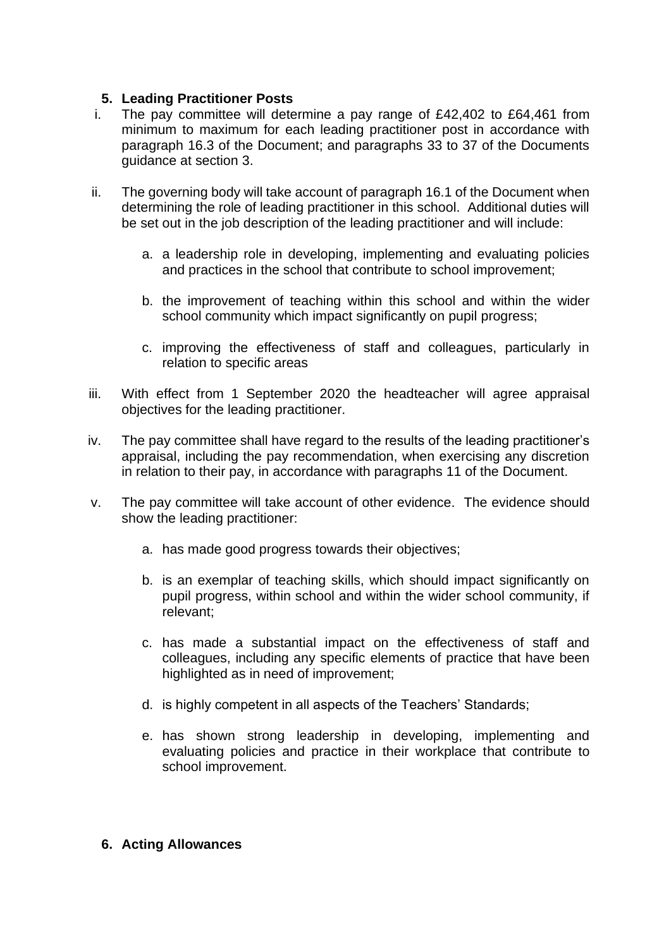# **5. Leading Practitioner Posts**

- i. The pay committee will determine a pay range of  $£42,402$  to  $£64,461$  from minimum to maximum for each leading practitioner post in accordance with paragraph 16.3 of the Document; and paragraphs 33 to 37 of the Documents guidance at section 3.
- ii. The governing body will take account of paragraph 16.1 of the Document when determining the role of leading practitioner in this school. Additional duties will be set out in the job description of the leading practitioner and will include:
	- a. a leadership role in developing, implementing and evaluating policies and practices in the school that contribute to school improvement;
	- b. the improvement of teaching within this school and within the wider school community which impact significantly on pupil progress;
	- c. improving the effectiveness of staff and colleagues, particularly in relation to specific areas
- iii. With effect from 1 September 2020 the headteacher will agree appraisal objectives for the leading practitioner.
- iv. The pay committee shall have regard to the results of the leading practitioner's appraisal, including the pay recommendation, when exercising any discretion in relation to their pay, in accordance with paragraphs 11 of the Document.
- v. The pay committee will take account of other evidence. The evidence should show the leading practitioner:
	- a. has made good progress towards their objectives;
	- b. is an exemplar of teaching skills, which should impact significantly on pupil progress, within school and within the wider school community, if relevant;
	- c. has made a substantial impact on the effectiveness of staff and colleagues, including any specific elements of practice that have been highlighted as in need of improvement;
	- d. is highly competent in all aspects of the Teachers' Standards;
	- e. has shown strong leadership in developing, implementing and evaluating policies and practice in their workplace that contribute to school improvement.

## **6. Acting Allowances**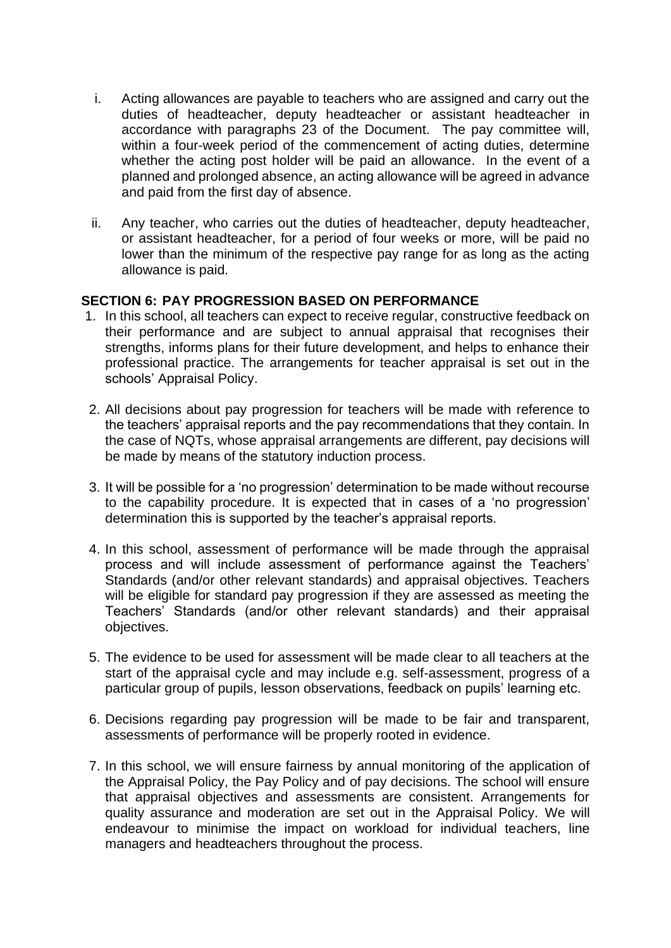- i. Acting allowances are payable to teachers who are assigned and carry out the duties of headteacher, deputy headteacher or assistant headteacher in accordance with paragraphs 23 of the Document. The pay committee will, within a four-week period of the commencement of acting duties, determine whether the acting post holder will be paid an allowance. In the event of a planned and prolonged absence, an acting allowance will be agreed in advance and paid from the first day of absence.
- ii. Any teacher, who carries out the duties of headteacher, deputy headteacher, or assistant headteacher, for a period of four weeks or more, will be paid no lower than the minimum of the respective pay range for as long as the acting allowance is paid.

## **SECTION 6: PAY PROGRESSION BASED ON PERFORMANCE**

- 1. In this school, all teachers can expect to receive regular, constructive feedback on their performance and are subject to annual appraisal that recognises their strengths, informs plans for their future development, and helps to enhance their professional practice. The arrangements for teacher appraisal is set out in the schools' Appraisal Policy.
- 2. All decisions about pay progression for teachers will be made with reference to the teachers' appraisal reports and the pay recommendations that they contain. In the case of NQTs, whose appraisal arrangements are different, pay decisions will be made by means of the statutory induction process.
- 3. It will be possible for a 'no progression' determination to be made without recourse to the capability procedure. It is expected that in cases of a 'no progression' determination this is supported by the teacher's appraisal reports.
- 4. In this school, assessment of performance will be made through the appraisal process and will include assessment of performance against the Teachers' Standards (and/or other relevant standards) and appraisal objectives. Teachers will be eligible for standard pay progression if they are assessed as meeting the Teachers' Standards (and/or other relevant standards) and their appraisal objectives.
- 5. The evidence to be used for assessment will be made clear to all teachers at the start of the appraisal cycle and may include e.g. self-assessment, progress of a particular group of pupils, lesson observations, feedback on pupils' learning etc.
- 6. Decisions regarding pay progression will be made to be fair and transparent, assessments of performance will be properly rooted in evidence.
- 7. In this school, we will ensure fairness by annual monitoring of the application of the Appraisal Policy, the Pay Policy and of pay decisions. The school will ensure that appraisal objectives and assessments are consistent. Arrangements for quality assurance and moderation are set out in the Appraisal Policy. We will endeavour to minimise the impact on workload for individual teachers, line managers and headteachers throughout the process.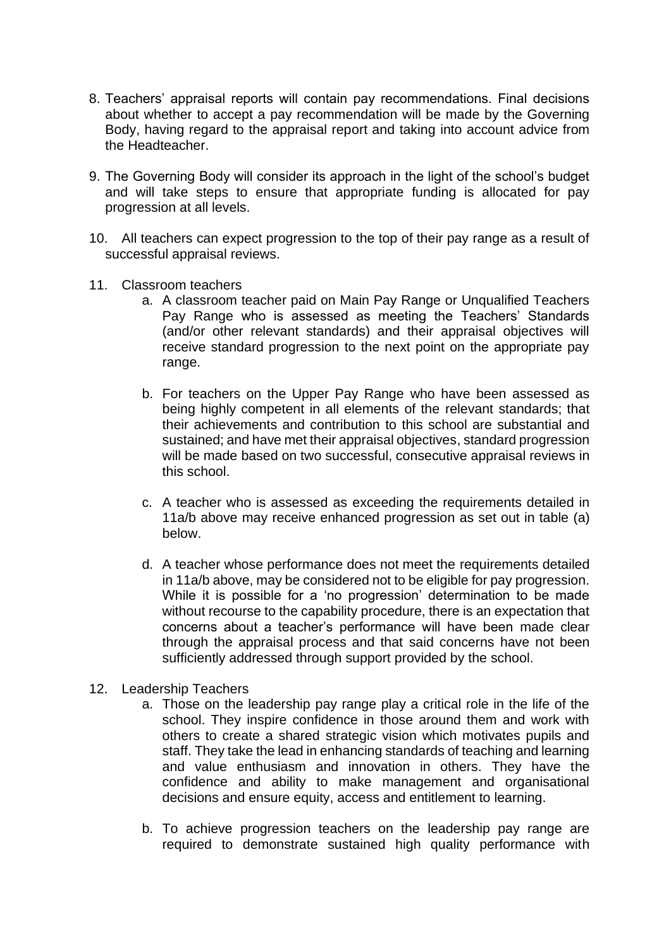- 8. Teachers' appraisal reports will contain pay recommendations. Final decisions about whether to accept a pay recommendation will be made by the Governing Body, having regard to the appraisal report and taking into account advice from the Headteacher.
- 9. The Governing Body will consider its approach in the light of the school's budget and will take steps to ensure that appropriate funding is allocated for pay progression at all levels.
- 10. All teachers can expect progression to the top of their pay range as a result of successful appraisal reviews.
- 11. Classroom teachers
	- a. A classroom teacher paid on Main Pay Range or Unqualified Teachers Pay Range who is assessed as meeting the Teachers' Standards (and/or other relevant standards) and their appraisal objectives will receive standard progression to the next point on the appropriate pay range.
	- b. For teachers on the Upper Pay Range who have been assessed as being highly competent in all elements of the relevant standards; that their achievements and contribution to this school are substantial and sustained; and have met their appraisal objectives, standard progression will be made based on two successful, consecutive appraisal reviews in this school.
	- c. A teacher who is assessed as exceeding the requirements detailed in 11a/b above may receive enhanced progression as set out in table (a) below.
	- d. A teacher whose performance does not meet the requirements detailed in 11a/b above, may be considered not to be eligible for pay progression. While it is possible for a 'no progression' determination to be made without recourse to the capability procedure, there is an expectation that concerns about a teacher's performance will have been made clear through the appraisal process and that said concerns have not been sufficiently addressed through support provided by the school.
- 12. Leadership Teachers
	- a. Those on the leadership pay range play a critical role in the life of the school. They inspire confidence in those around them and work with others to create a shared strategic vision which motivates pupils and staff. They take the lead in enhancing standards of teaching and learning and value enthusiasm and innovation in others. They have the confidence and ability to make management and organisational decisions and ensure equity, access and entitlement to learning.
	- b. To achieve progression teachers on the leadership pay range are required to demonstrate sustained high quality performance with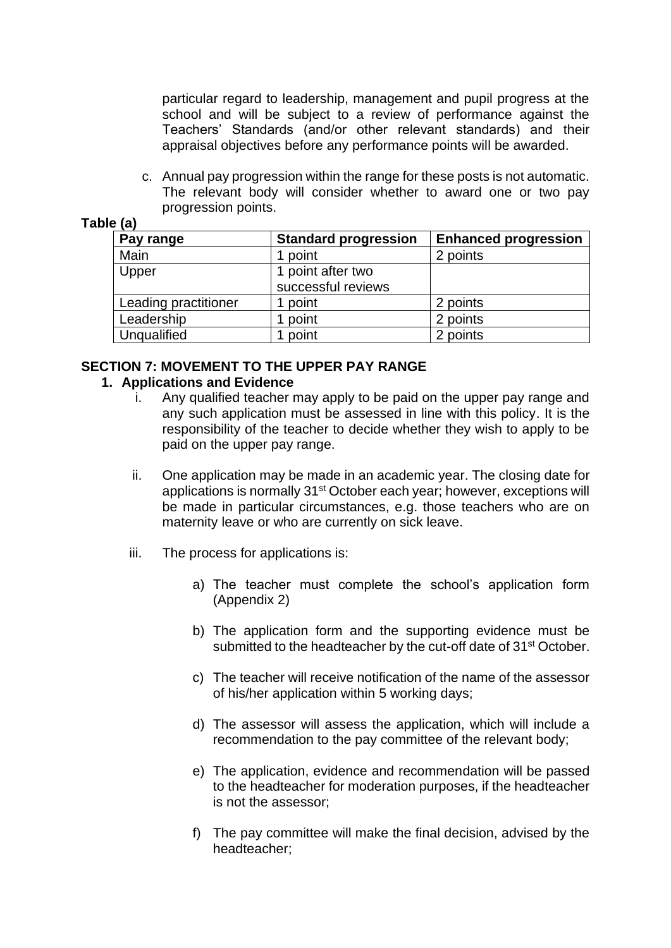particular regard to leadership, management and pupil progress at the school and will be subject to a review of performance against the Teachers' Standards (and/or other relevant standards) and their appraisal objectives before any performance points will be awarded.

c. Annual pay progression within the range for these posts is not automatic. The relevant body will consider whether to award one or two pay progression points.

| Pay range            | <b>Standard progression</b> | <b>Enhanced progression</b> |
|----------------------|-----------------------------|-----------------------------|
| Main                 | point                       | 2 points                    |
| Upper                | 1 point after two           |                             |
|                      | successful reviews          |                             |
| Leading practitioner | point                       | 2 points                    |
| Leadership           | point                       | 2 points                    |
| Unqualified          | point                       | 2 points                    |

# **Table (a)**

## **SECTION 7: MOVEMENT TO THE UPPER PAY RANGE**

## **1. Applications and Evidence**

- i. Any qualified teacher may apply to be paid on the upper pay range and any such application must be assessed in line with this policy. It is the responsibility of the teacher to decide whether they wish to apply to be paid on the upper pay range.
- ii. One application may be made in an academic year. The closing date for applications is normally 31st October each year; however, exceptions will be made in particular circumstances, e.g. those teachers who are on maternity leave or who are currently on sick leave.
- iii. The process for applications is:
	- a) The teacher must complete the school's application form (Appendix 2)
	- b) The application form and the supporting evidence must be submitted to the headteacher by the cut-off date of 31<sup>st</sup> October.
	- c) The teacher will receive notification of the name of the assessor of his/her application within 5 working days;
	- d) The assessor will assess the application, which will include a recommendation to the pay committee of the relevant body;
	- e) The application, evidence and recommendation will be passed to the headteacher for moderation purposes, if the headteacher is not the assessor;
	- f) The pay committee will make the final decision, advised by the headteacher;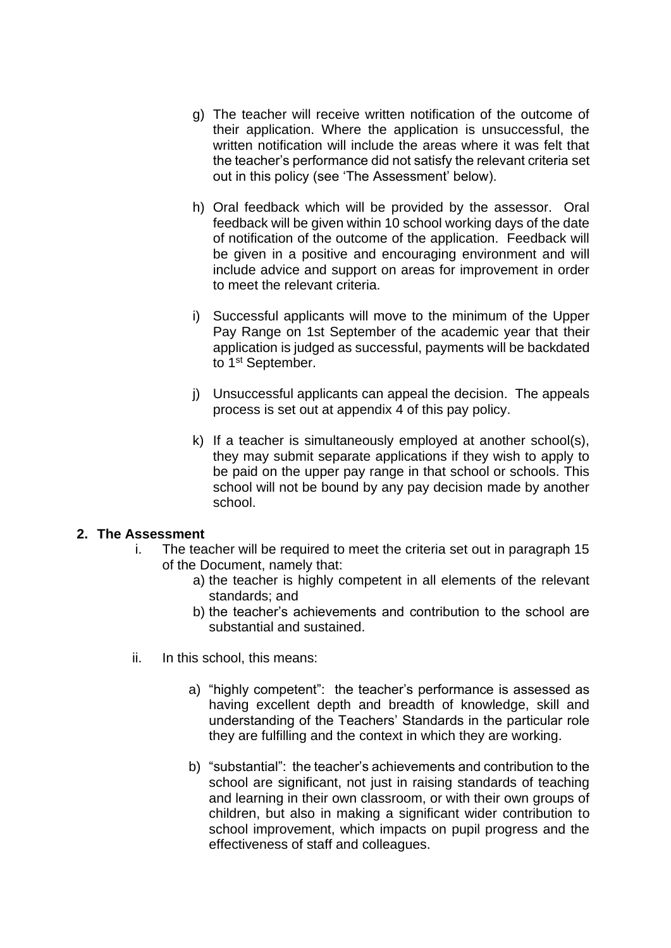- g) The teacher will receive written notification of the outcome of their application. Where the application is unsuccessful, the written notification will include the areas where it was felt that the teacher's performance did not satisfy the relevant criteria set out in this policy (see 'The Assessment' below).
- h) Oral feedback which will be provided by the assessor. Oral feedback will be given within 10 school working days of the date of notification of the outcome of the application. Feedback will be given in a positive and encouraging environment and will include advice and support on areas for improvement in order to meet the relevant criteria.
- i) Successful applicants will move to the minimum of the Upper Pay Range on 1st September of the academic year that their application is judged as successful, payments will be backdated to 1<sup>st</sup> September.
- j) Unsuccessful applicants can appeal the decision. The appeals process is set out at appendix 4 of this pay policy.
- k) If a teacher is simultaneously employed at another school(s), they may submit separate applications if they wish to apply to be paid on the upper pay range in that school or schools. This school will not be bound by any pay decision made by another school.

## **2. The Assessment**

- i. The teacher will be required to meet the criteria set out in paragraph 15 of the Document, namely that:
	- a) the teacher is highly competent in all elements of the relevant standards; and
	- b) the teacher's achievements and contribution to the school are substantial and sustained.
- ii. In this school, this means:
	- a) "highly competent": the teacher's performance is assessed as having excellent depth and breadth of knowledge, skill and understanding of the Teachers' Standards in the particular role they are fulfilling and the context in which they are working.
	- b) "substantial": the teacher's achievements and contribution to the school are significant, not just in raising standards of teaching and learning in their own classroom, or with their own groups of children, but also in making a significant wider contribution to school improvement, which impacts on pupil progress and the effectiveness of staff and colleagues.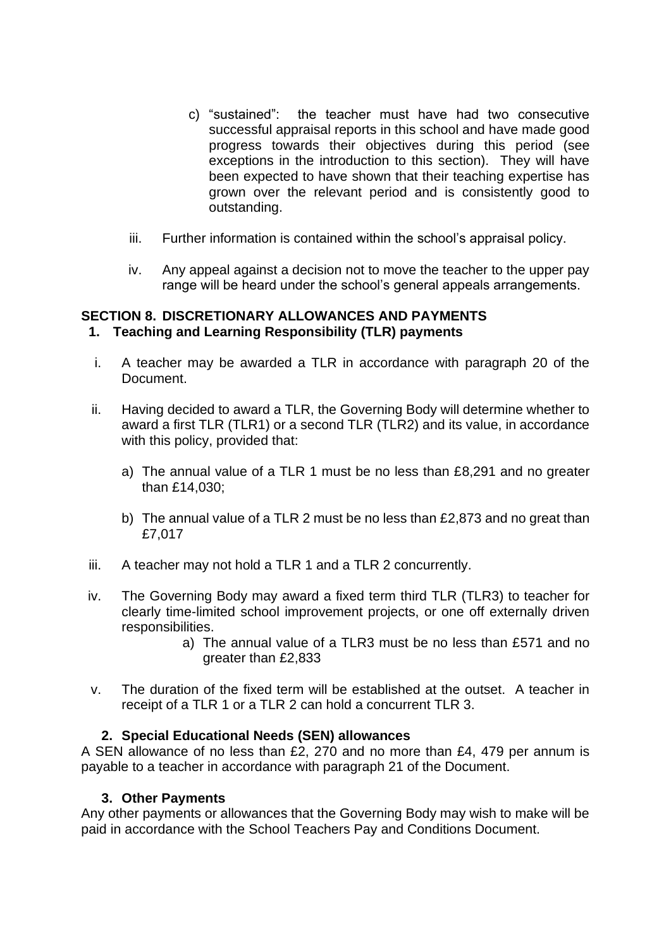- c) "sustained": the teacher must have had two consecutive successful appraisal reports in this school and have made good progress towards their objectives during this period (see exceptions in the introduction to this section). They will have been expected to have shown that their teaching expertise has grown over the relevant period and is consistently good to outstanding.
- iii. Further information is contained within the school's appraisal policy.
- iv. Any appeal against a decision not to move the teacher to the upper pay range will be heard under the school's general appeals arrangements.

## **SECTION 8. DISCRETIONARY ALLOWANCES AND PAYMENTS 1. Teaching and Learning Responsibility (TLR) payments**

- i. A teacher may be awarded a TLR in accordance with paragraph 20 of the Document.
- ii. Having decided to award a TLR, the Governing Body will determine whether to award a first TLR (TLR1) or a second TLR (TLR2) and its value, in accordance with this policy, provided that:
	- a) The annual value of a TLR 1 must be no less than £8,291 and no greater than £14,030;
	- b) The annual value of a TLR 2 must be no less than £2,873 and no great than £7,017
- iii. A teacher may not hold a TLR 1 and a TLR 2 concurrently.
- iv. The Governing Body may award a fixed term third TLR (TLR3) to teacher for clearly time-limited school improvement projects, or one off externally driven responsibilities.
	- a) The annual value of a TLR3 must be no less than £571 and no greater than £2,833
- v. The duration of the fixed term will be established at the outset. A teacher in receipt of a TLR 1 or a TLR 2 can hold a concurrent TLR 3.

## **2. Special Educational Needs (SEN) allowances**

A SEN allowance of no less than £2, 270 and no more than £4, 479 per annum is payable to a teacher in accordance with paragraph 21 of the Document.

## **3. Other Payments**

Any other payments or allowances that the Governing Body may wish to make will be paid in accordance with the School Teachers Pay and Conditions Document.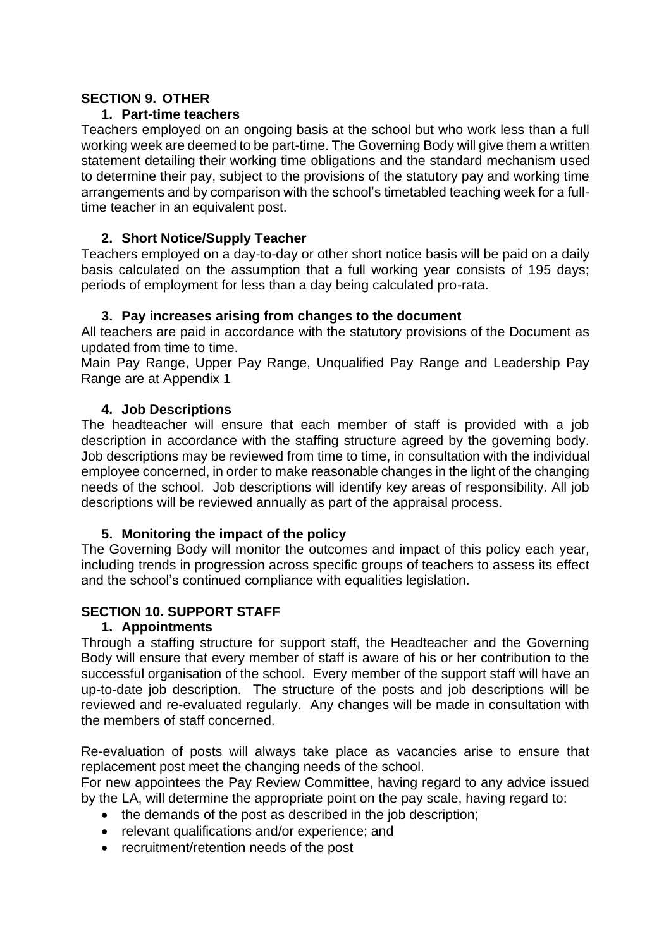## **SECTION 9. OTHER**

## **1. Part-time teachers**

Teachers employed on an ongoing basis at the school but who work less than a full working week are deemed to be part-time. The Governing Body will give them a written statement detailing their working time obligations and the standard mechanism used to determine their pay, subject to the provisions of the statutory pay and working time arrangements and by comparison with the school's timetabled teaching week for a fulltime teacher in an equivalent post.

# **2. Short Notice/Supply Teacher**

Teachers employed on a day-to-day or other short notice basis will be paid on a daily basis calculated on the assumption that a full working year consists of 195 days; periods of employment for less than a day being calculated pro-rata.

# **3. Pay increases arising from changes to the document**

All teachers are paid in accordance with the statutory provisions of the Document as updated from time to time.

Main Pay Range, Upper Pay Range, Unqualified Pay Range and Leadership Pay Range are at Appendix 1

# **4. Job Descriptions**

The headteacher will ensure that each member of staff is provided with a job description in accordance with the staffing structure agreed by the governing body. Job descriptions may be reviewed from time to time, in consultation with the individual employee concerned, in order to make reasonable changes in the light of the changing needs of the school. Job descriptions will identify key areas of responsibility. All job descriptions will be reviewed annually as part of the appraisal process.

## **5. Monitoring the impact of the policy**

The Governing Body will monitor the outcomes and impact of this policy each year*,*  including trends in progression across specific groups of teachers to assess its effect and the school's continued compliance with equalities legislation.

# **SECTION 10. SUPPORT STAFF**

## **1. Appointments**

Through a staffing structure for support staff, the Headteacher and the Governing Body will ensure that every member of staff is aware of his or her contribution to the successful organisation of the school. Every member of the support staff will have an up-to-date job description. The structure of the posts and job descriptions will be reviewed and re-evaluated regularly. Any changes will be made in consultation with the members of staff concerned.

Re-evaluation of posts will always take place as vacancies arise to ensure that replacement post meet the changing needs of the school.

For new appointees the Pay Review Committee, having regard to any advice issued by the LA, will determine the appropriate point on the pay scale, having regard to:

- the demands of the post as described in the job description:
- relevant qualifications and/or experience; and
- recruitment/retention needs of the post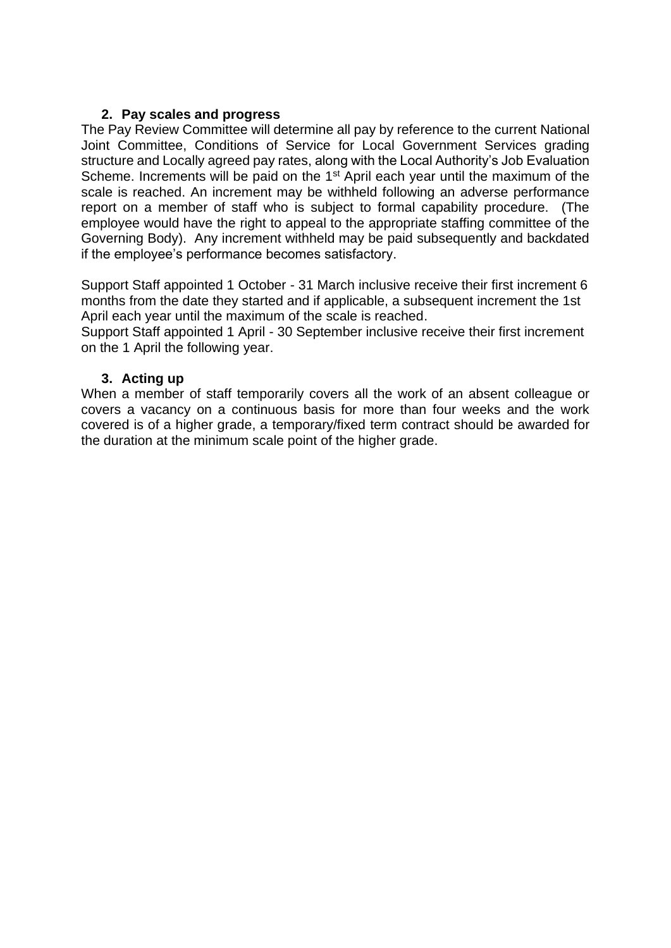## **2. Pay scales and progress**

The Pay Review Committee will determine all pay by reference to the current National Joint Committee, Conditions of Service for Local Government Services grading structure and Locally agreed pay rates, along with the Local Authority's Job Evaluation Scheme. Increments will be paid on the 1<sup>st</sup> April each year until the maximum of the scale is reached. An increment may be withheld following an adverse performance report on a member of staff who is subject to formal capability procedure. (The employee would have the right to appeal to the appropriate staffing committee of the Governing Body). Any increment withheld may be paid subsequently and backdated if the employee's performance becomes satisfactory.

Support Staff appointed 1 October - 31 March inclusive receive their first increment 6 months from the date they started and if applicable, a subsequent increment the 1st April each year until the maximum of the scale is reached.

Support Staff appointed 1 April - 30 September inclusive receive their first increment on the 1 April the following year.

## **3. Acting up**

When a member of staff temporarily covers all the work of an absent colleague or covers a vacancy on a continuous basis for more than four weeks and the work covered is of a higher grade, a temporary/fixed term contract should be awarded for the duration at the minimum scale point of the higher grade.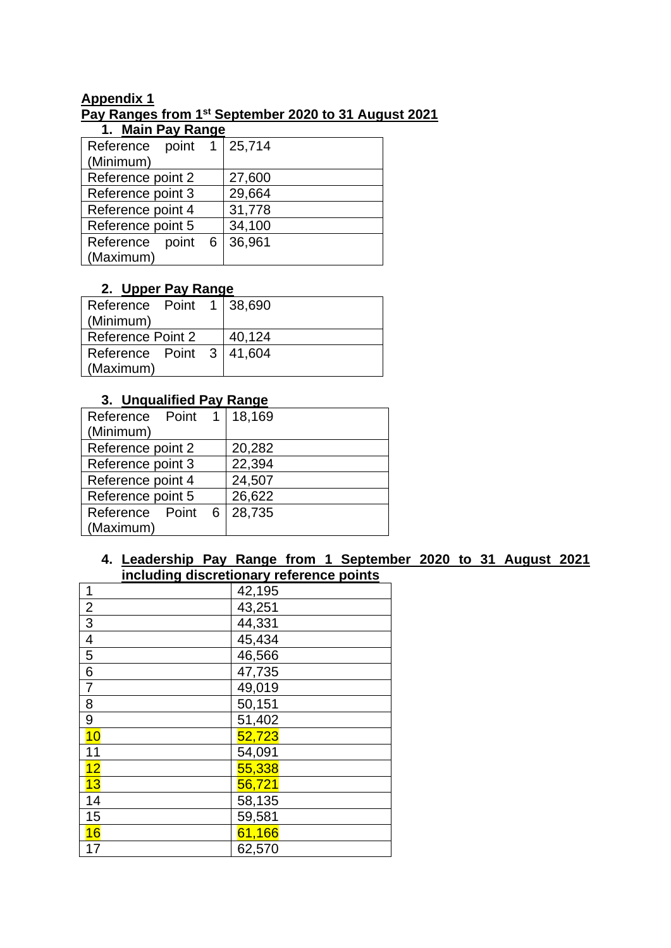# **Appendix 1 Pay Ranges from 1st September 2020 to 31 August 2021**

| 1. Main Pay Range          |        |
|----------------------------|--------|
| Reference point 1   25,714 |        |
| (Minimum)                  |        |
| Reference point 2          | 27,600 |
| Reference point 3          | 29,664 |
| Reference point 4          | 31,778 |
| Reference point 5          | 34,100 |
| Reference<br>point 6       | 36,961 |
| (Maximum)                  |        |

# **2. Upper Pay Range**

| Reference Point 1 38,690<br>(Minimum) |  |        |
|---------------------------------------|--|--------|
| <b>Reference Point 2</b>              |  | 40,124 |
| Reference Point 3   41,604            |  |        |
| (Maximum)                             |  |        |

# **3. Unqualified Pay Range**

| Reference Point 1 | 18,169 |
|-------------------|--------|
| (Minimum)         |        |
| Reference point 2 | 20,282 |
| Reference point 3 | 22,394 |
| Reference point 4 | 24,507 |
| Reference point 5 | 26,622 |
| Reference Point 6 | 28,735 |
| (Maximum)         |        |

# **4. Leadership Pay Range from 1 September 2020 to 31 August 2021 including discretionary reference points**

| 1               | 42,195 |
|-----------------|--------|
| $\overline{2}$  | 43,251 |
| $\overline{3}$  | 44,331 |
| $\overline{4}$  | 45,434 |
| $\overline{5}$  | 46,566 |
| $6\phantom{1}6$ | 47,735 |
| $\overline{7}$  | 49,019 |
| 8               | 50,151 |
| 9               | 51,402 |
| 10              | 52,723 |
| 11              | 54,091 |
| 12              | 55,338 |
| 13              | 56,721 |
| 14              | 58,135 |
| 15              | 59,581 |
| 16              | 61,166 |
| 17              | 62,570 |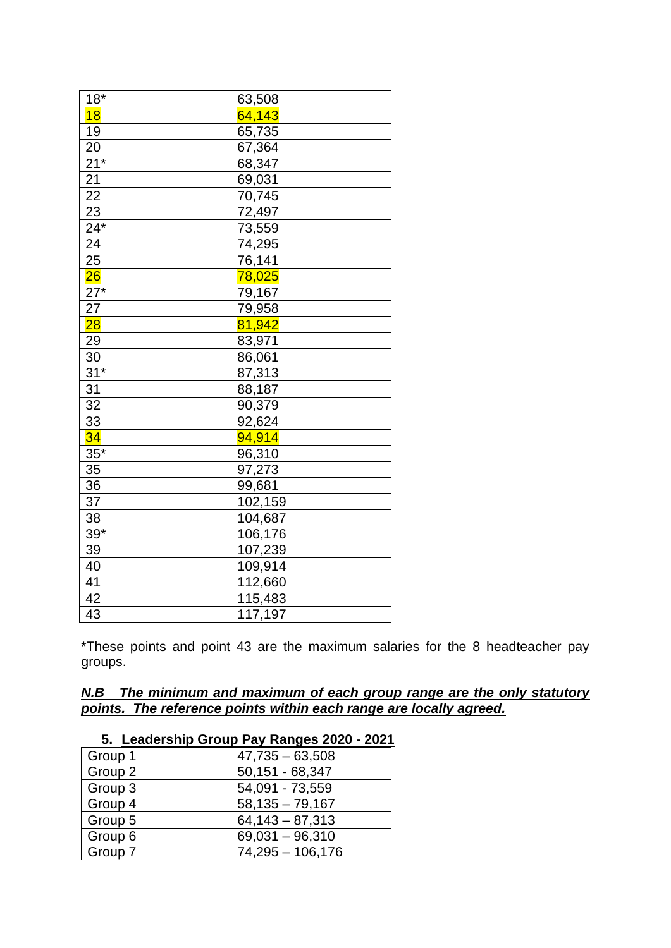| $18*$           | 63,508  |
|-----------------|---------|
| 18              | 64,143  |
| 19              | 65,735  |
| 20              | 67,364  |
| $21*$           | 68,347  |
| 21              | 69,031  |
| $\overline{22}$ | 70,745  |
| 23              | 72,497  |
| $24*$           | 73,559  |
| 24              | 74,295  |
| 25              | 76,141  |
| $\overline{26}$ | 78,025  |
| $27*$           | 79,167  |
| 27              | 79,958  |
| $\overline{28}$ | 81,942  |
| 29              | 83,971  |
| 30              | 86,061  |
| $31*$           | 87,313  |
| 31              | 88,187  |
| $\overline{32}$ | 90,379  |
| $\overline{33}$ | 92,624  |
| 34              | 94,914  |
| $35*$           | 96,310  |
| 35              | 97,273  |
| $\overline{36}$ | 99,681  |
| $\overline{37}$ | 102,159 |
| 38              | 104,687 |
| $39*$           | 106,176 |
| 39              | 107,239 |
| 40              | 109,914 |
| 41              | 112,660 |
| 42              | 115,483 |
| 43              | 117,197 |

\*These points and point 43 are the maximum salaries for the 8 headteacher pay groups.

# *N.B The minimum and maximum of each group range are the only statutory points. The reference points within each range are locally agreed.*

| 5. Leadership Group Pay Ranges 2020 - 2021 |                    |  |
|--------------------------------------------|--------------------|--|
| Group 1                                    | $47,735 - 63,508$  |  |
| Group 2                                    | 50,151 - 68,347    |  |
| Group 3                                    | 54,091 - 73,559    |  |
| Group 4                                    | $58,135 - 79,167$  |  |
| Group 5                                    | $64,143 - 87,313$  |  |
| Group 6                                    | $69,031 - 96,310$  |  |
| Group 7                                    | $74,295 - 106,176$ |  |

# **5. Leadership Group Pay Ranges 2020 - 2021**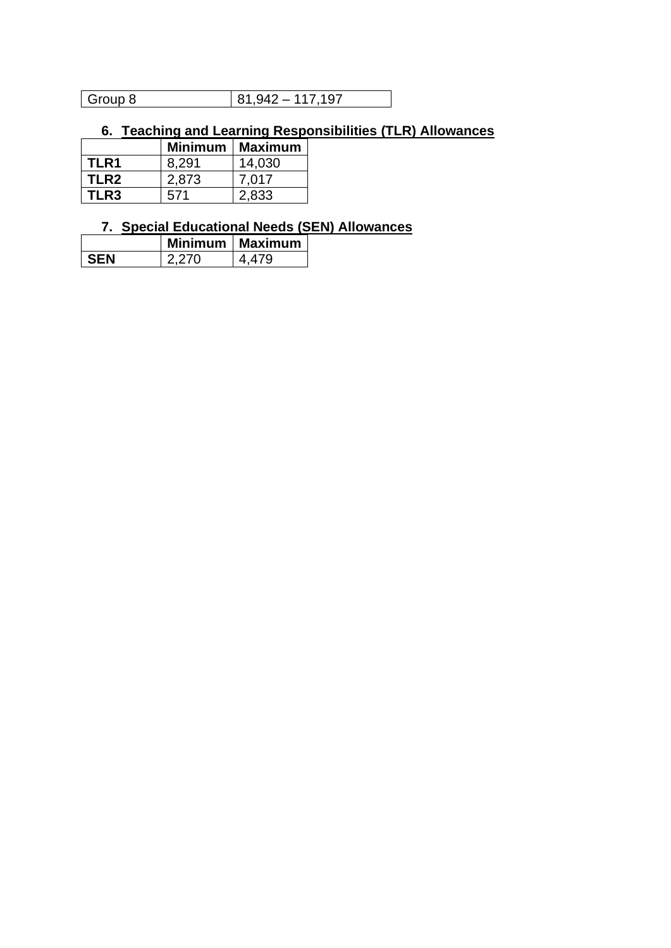| Group 8 | $81.942 - 117.197$ |
|---------|--------------------|

# **6. Teaching and Learning Responsibilities (TLR) Allowances**

|             |       | Minimum   Maximum |
|-------------|-------|-------------------|
| TLR1        | 8.291 | 14,030            |
| TLR2        | 2,873 | 7.017             |
| <b>TLR3</b> | 571   | 2,833             |

# **7. Special Educational Needs (SEN) Allowances**

|     |       | Minimum   Maximum |
|-----|-------|-------------------|
| SEN | 2 270 | 4 479             |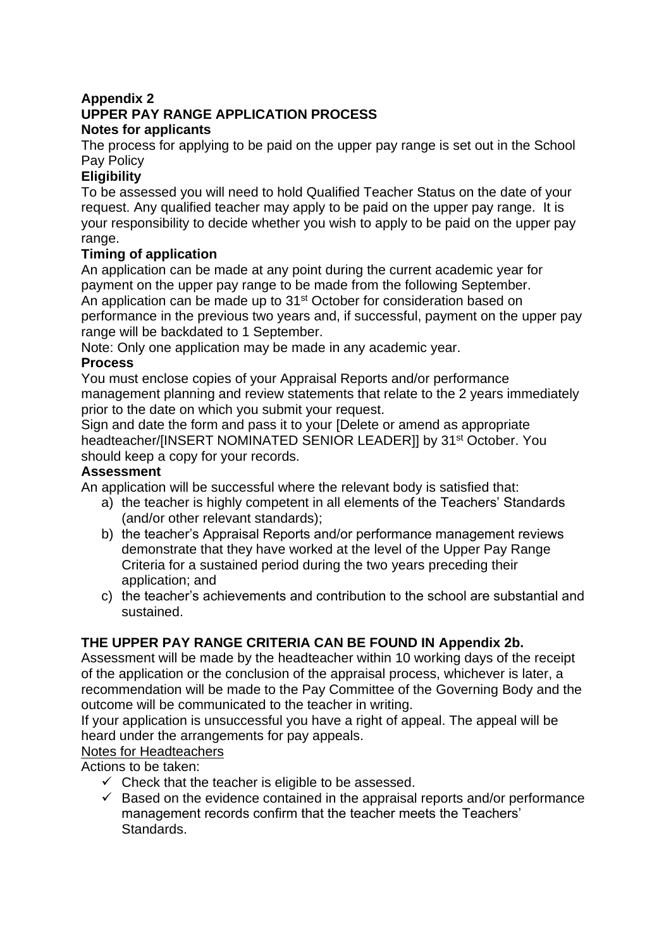# **Appendix 2 UPPER PAY RANGE APPLICATION PROCESS Notes for applicants**

The process for applying to be paid on the upper pay range is set out in the School Pay Policy

# **Eligibility**

To be assessed you will need to hold Qualified Teacher Status on the date of your request. Any qualified teacher may apply to be paid on the upper pay range. It is your responsibility to decide whether you wish to apply to be paid on the upper pay range.

# **Timing of application**

An application can be made at any point during the current academic year for payment on the upper pay range to be made from the following September. An application can be made up to 31<sup>st</sup> October for consideration based on performance in the previous two years and, if successful, payment on the upper pay range will be backdated to 1 September.

Note: Only one application may be made in any academic year.

# **Process**

You must enclose copies of your Appraisal Reports and/or performance management planning and review statements that relate to the 2 years immediately prior to the date on which you submit your request.

Sign and date the form and pass it to your [Delete or amend as appropriate headteacher/[INSERT NOMINATED SENIOR LEADER]] by 31<sup>st</sup> October. You should keep a copy for your records.

# **Assessment**

An application will be successful where the relevant body is satisfied that:

- a) the teacher is highly competent in all elements of the Teachers' Standards (and/or other relevant standards);
- b) the teacher's Appraisal Reports and/or performance management reviews demonstrate that they have worked at the level of the Upper Pay Range Criteria for a sustained period during the two years preceding their application; and
- c) the teacher's achievements and contribution to the school are substantial and sustained.

# **THE UPPER PAY RANGE CRITERIA CAN BE FOUND IN Appendix 2b.**

Assessment will be made by the headteacher within 10 working days of the receipt of the application or the conclusion of the appraisal process, whichever is later, a recommendation will be made to the Pay Committee of the Governing Body and the outcome will be communicated to the teacher in writing.

If your application is unsuccessful you have a right of appeal. The appeal will be heard under the arrangements for pay appeals.

# Notes for Headteachers

Actions to be taken:

- $\checkmark$  Check that the teacher is eligible to be assessed.
- $\checkmark$  Based on the evidence contained in the appraisal reports and/or performance management records confirm that the teacher meets the Teachers' Standards.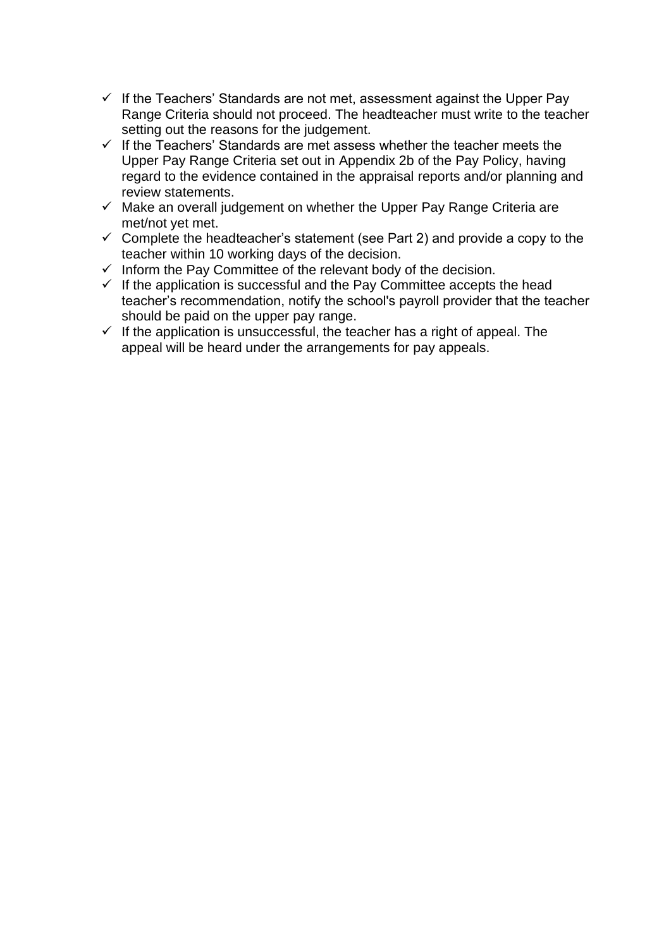- $\checkmark$  If the Teachers' Standards are not met, assessment against the Upper Pay Range Criteria should not proceed. The headteacher must write to the teacher setting out the reasons for the judgement.
- $\checkmark$  If the Teachers' Standards are met assess whether the teacher meets the Upper Pay Range Criteria set out in Appendix 2b of the Pay Policy, having regard to the evidence contained in the appraisal reports and/or planning and review statements.
- $\checkmark$  Make an overall judgement on whether the Upper Pay Range Criteria are met/not yet met.
- $\checkmark$  Complete the headteacher's statement (see Part 2) and provide a copy to the teacher within 10 working days of the decision.
- $\checkmark$  Inform the Pay Committee of the relevant body of the decision.
- ✓ If the application is successful and the Pay Committee accepts the head teacher's recommendation, notify the school's payroll provider that the teacher should be paid on the upper pay range.
- $\checkmark$  If the application is unsuccessful, the teacher has a right of appeal. The appeal will be heard under the arrangements for pay appeals.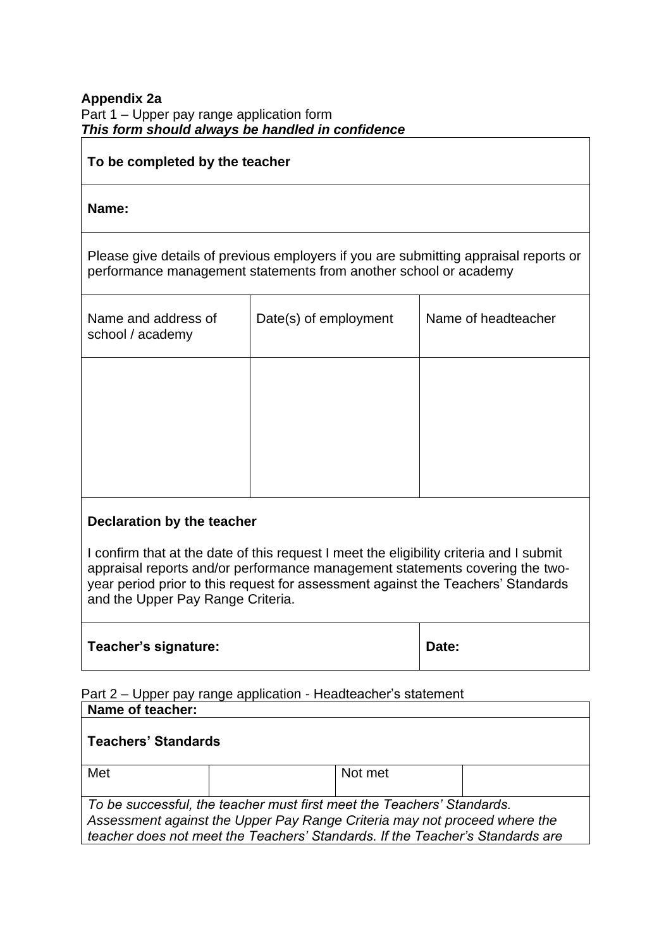## **Appendix 2a** Part 1 – Upper pay range application form *This form should always be handled in confidence*

## **To be completed by the teacher**

## **Name:**

Please give details of previous employers if you are submitting appraisal reports or performance management statements from another school or academy

| Name and address of<br>school / academy | Date(s) of employment | Name of headteacher |
|-----------------------------------------|-----------------------|---------------------|
|                                         |                       |                     |
|                                         |                       |                     |

## **Declaration by the teacher**

I confirm that at the date of this request I meet the eligibility criteria and I submit appraisal reports and/or performance management statements covering the twoyear period prior to this request for assessment against the Teachers' Standards and the Upper Pay Range Criteria.

| Teacher's signature: | Date: |
|----------------------|-------|
|                      |       |

| Date: |  |
|-------|--|
|-------|--|

Part 2 – Upper pay range application - Headteacher's statement **Name of teacher:**

| Teachers' Standards                                                           |  |         |  |  |
|-------------------------------------------------------------------------------|--|---------|--|--|
| Met                                                                           |  | Not met |  |  |
|                                                                               |  |         |  |  |
| To be successful, the teacher must first meet the Teachers' Standards.        |  |         |  |  |
| Assessment against the Upper Pay Range Criteria may not proceed where the     |  |         |  |  |
| teacher does not meet the Teachers' Standards. If the Teacher's Standards are |  |         |  |  |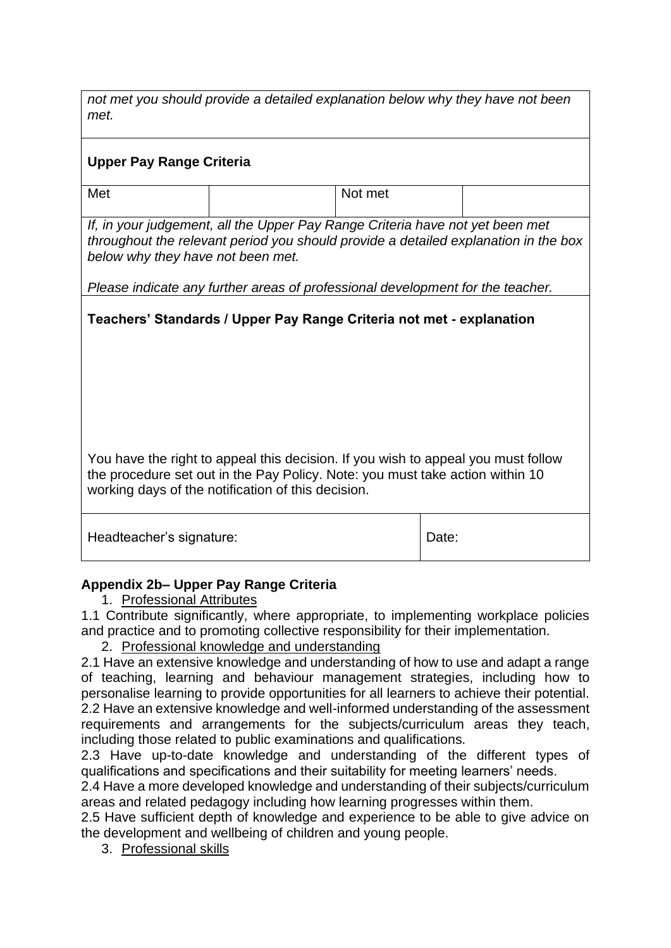*not met you should provide a detailed explanation below why they have not been met.* 

# **Upper Pay Range Criteria**

Met and the net of the Notinet

*If, in your judgement, all the Upper Pay Range Criteria have not yet been met throughout the relevant period you should provide a detailed explanation in the box below why they have not been met.* 

*Please indicate any further areas of professional development for the teacher.*

**Teachers' Standards / Upper Pay Range Criteria not met - explanation**

You have the right to appeal this decision. If you wish to appeal you must follow the procedure set out in the Pay Policy. Note: you must take action within 10 working days of the notification of this decision.

| Headteacher's signature:<br>Date: |
|-----------------------------------|
|-----------------------------------|

# **Appendix 2b– Upper Pay Range Criteria**

1. Professional Attributes

1.1 Contribute significantly, where appropriate, to implementing workplace policies and practice and to promoting collective responsibility for their implementation.

2. Professional knowledge and understanding

2.1 Have an extensive knowledge and understanding of how to use and adapt a range of teaching, learning and behaviour management strategies, including how to personalise learning to provide opportunities for all learners to achieve their potential. 2.2 Have an extensive knowledge and well-informed understanding of the assessment requirements and arrangements for the subjects/curriculum areas they teach, including those related to public examinations and qualifications.

2.3 Have up-to-date knowledge and understanding of the different types of qualifications and specifications and their suitability for meeting learners' needs.

2.4 Have a more developed knowledge and understanding of their subjects/curriculum areas and related pedagogy including how learning progresses within them.

2.5 Have sufficient depth of knowledge and experience to be able to give advice on the development and wellbeing of children and young people.

3. Professional skills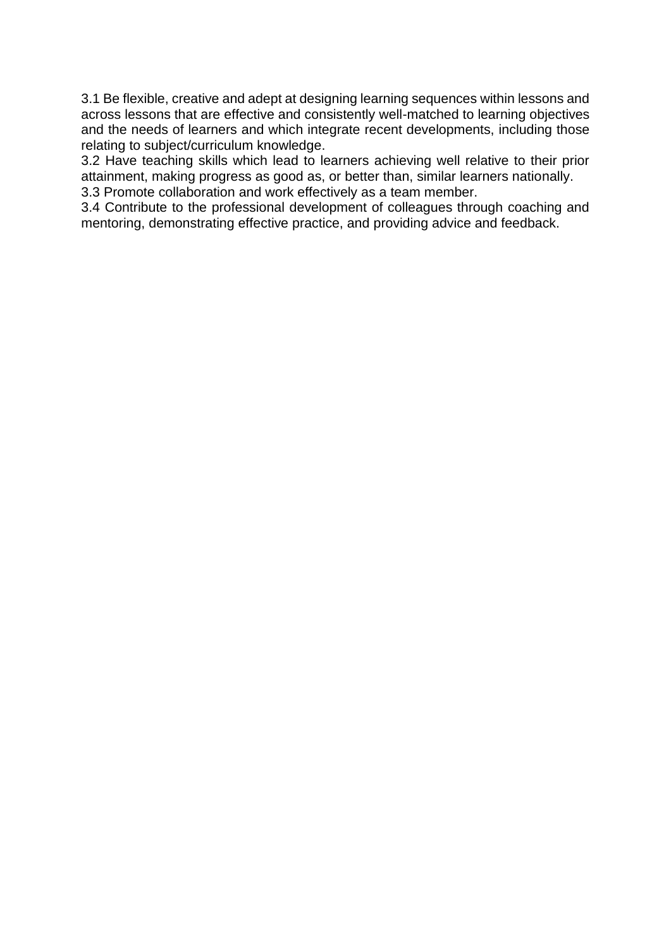3.1 Be flexible, creative and adept at designing learning sequences within lessons and across lessons that are effective and consistently well-matched to learning objectives and the needs of learners and which integrate recent developments, including those relating to subject/curriculum knowledge.

3.2 Have teaching skills which lead to learners achieving well relative to their prior attainment, making progress as good as, or better than, similar learners nationally. 3.3 Promote collaboration and work effectively as a team member.

3.4 Contribute to the professional development of colleagues through coaching and mentoring, demonstrating effective practice, and providing advice and feedback.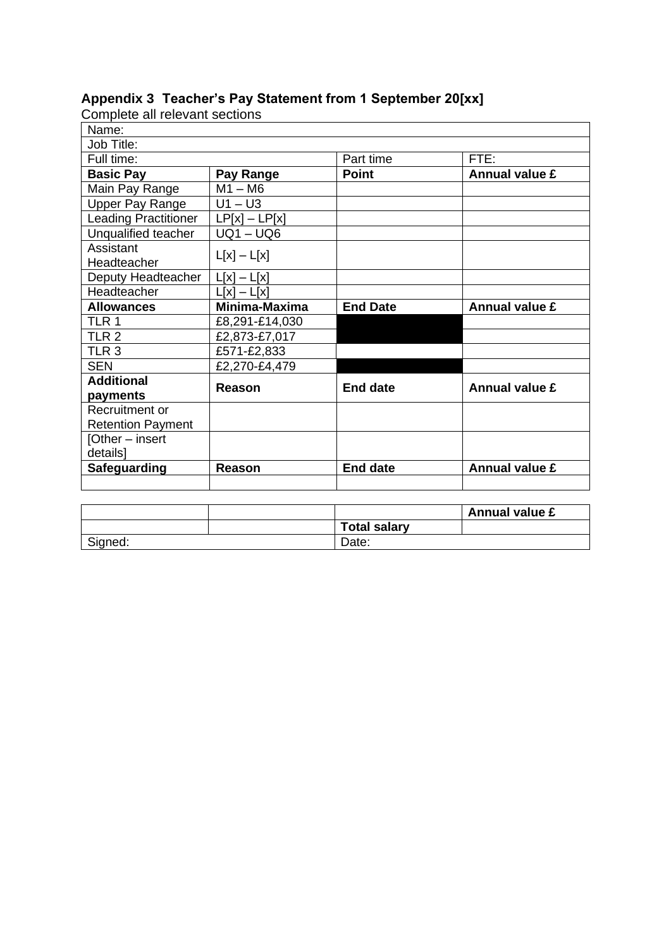| Complete all relevant sections |                 |                 |                       |
|--------------------------------|-----------------|-----------------|-----------------------|
| Name:                          |                 |                 |                       |
| Job Title:                     |                 |                 |                       |
| Full time:                     |                 | Part time       | FTE:                  |
| <b>Basic Pay</b>               | Pay Range       | <b>Point</b>    | <b>Annual value £</b> |
| Main Pay Range                 | $M1 - M6$       |                 |                       |
| <b>Upper Pay Range</b>         | $U1 - U3$       |                 |                       |
| <b>Leading Practitioner</b>    | $LP[x] - LP[x]$ |                 |                       |
| Unqualified teacher            | $UQ1 - UQ6$     |                 |                       |
| Assistant                      | $L[x] - L[x]$   |                 |                       |
| Headteacher                    |                 |                 |                       |
| Deputy Headteacher             | $L[x] - L[x]$   |                 |                       |
| Headteacher                    | $L[x] - L[x]$   |                 |                       |
|                                |                 |                 |                       |
| <b>Allowances</b>              | Minima-Maxima   | <b>End Date</b> | <b>Annual value £</b> |
| TLR 1                          | £8,291-£14,030  |                 |                       |
| TLR <sub>2</sub>               | £2,873-£7,017   |                 |                       |
| TLR <sub>3</sub>               | £571-£2,833     |                 |                       |
| <b>SEN</b>                     | £2,270-£4,479   |                 |                       |
| <b>Additional</b>              |                 |                 |                       |
| payments                       | Reason          | <b>End date</b> | <b>Annual value £</b> |
| Recruitment or                 |                 |                 |                       |
| <b>Retention Payment</b>       |                 |                 |                       |
| [Other – insert                |                 |                 |                       |
| details]                       |                 |                 |                       |
| <b>Safeguarding</b>            | Reason          | <b>End date</b> | <b>Annual value £</b> |

# **Appendix 3 Teacher's Pay Statement from 1 September 20[xx]**

|         |                     | <b>Annual value £</b> |
|---------|---------------------|-----------------------|
|         | <b>Total salary</b> |                       |
| Signed: | Date:               |                       |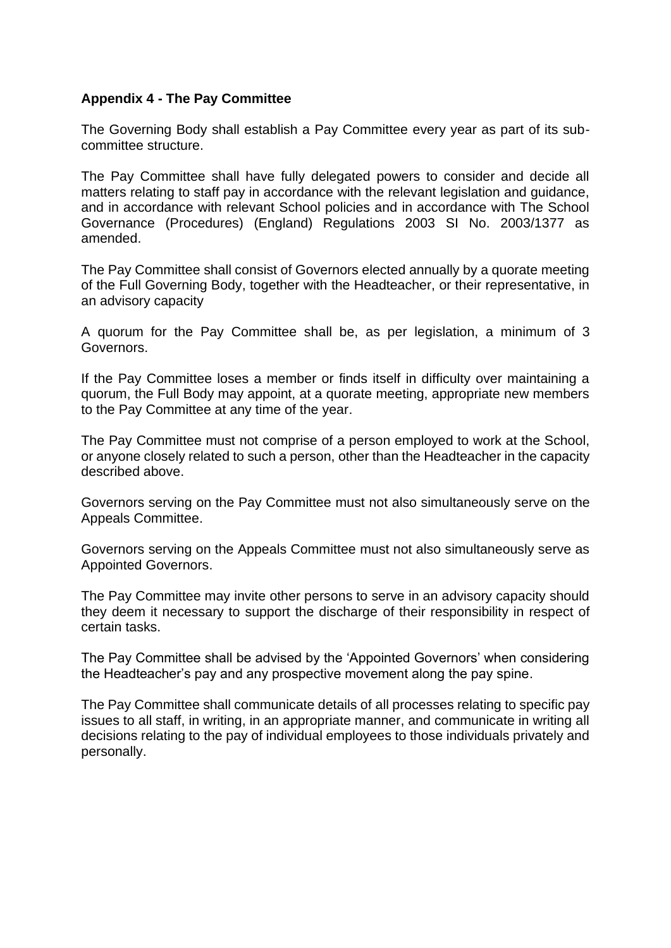## **Appendix 4 - The Pay Committee**

The Governing Body shall establish a Pay Committee every year as part of its subcommittee structure.

The Pay Committee shall have fully delegated powers to consider and decide all matters relating to staff pay in accordance with the relevant legislation and guidance, and in accordance with relevant School policies and in accordance with The School Governance (Procedures) (England) Regulations 2003 SI No. 2003/1377 as amended.

The Pay Committee shall consist of Governors elected annually by a quorate meeting of the Full Governing Body, together with the Headteacher, or their representative, in an advisory capacity

A quorum for the Pay Committee shall be, as per legislation, a minimum of 3 Governors.

If the Pay Committee loses a member or finds itself in difficulty over maintaining a quorum, the Full Body may appoint, at a quorate meeting, appropriate new members to the Pay Committee at any time of the year.

The Pay Committee must not comprise of a person employed to work at the School, or anyone closely related to such a person, other than the Headteacher in the capacity described above.

Governors serving on the Pay Committee must not also simultaneously serve on the Appeals Committee.

Governors serving on the Appeals Committee must not also simultaneously serve as Appointed Governors.

The Pay Committee may invite other persons to serve in an advisory capacity should they deem it necessary to support the discharge of their responsibility in respect of certain tasks.

The Pay Committee shall be advised by the 'Appointed Governors' when considering the Headteacher's pay and any prospective movement along the pay spine.

The Pay Committee shall communicate details of all processes relating to specific pay issues to all staff, in writing, in an appropriate manner, and communicate in writing all decisions relating to the pay of individual employees to those individuals privately and personally.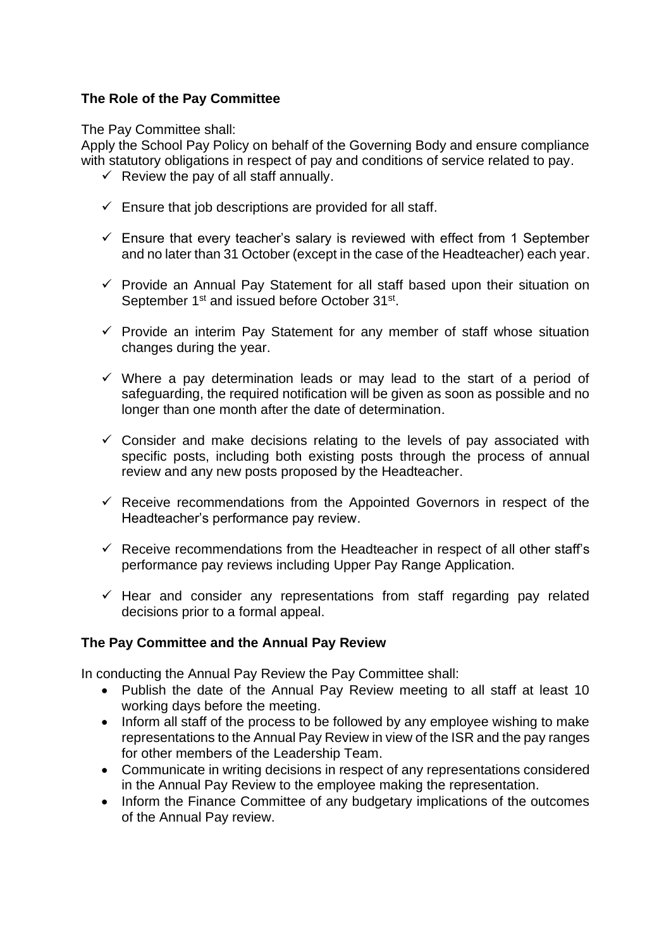# **The Role of the Pay Committee**

The Pay Committee shall:

Apply the School Pay Policy on behalf of the Governing Body and ensure compliance with statutory obligations in respect of pay and conditions of service related to pay.

- $\checkmark$  Review the pay of all staff annually.
- $\checkmark$  Ensure that job descriptions are provided for all staff.
- $\checkmark$  Ensure that every teacher's salary is reviewed with effect from 1 September and no later than 31 October (except in the case of the Headteacher) each year.
- ✓ Provide an Annual Pay Statement for all staff based upon their situation on September 1<sup>st</sup> and issued before October 31<sup>st</sup>.
- $\checkmark$  Provide an interim Pay Statement for any member of staff whose situation changes during the year.
- ✓ Where a pay determination leads or may lead to the start of a period of safeguarding, the required notification will be given as soon as possible and no longer than one month after the date of determination.
- $\checkmark$  Consider and make decisions relating to the levels of pay associated with specific posts, including both existing posts through the process of annual review and any new posts proposed by the Headteacher.
- $\checkmark$  Receive recommendations from the Appointed Governors in respect of the Headteacher's performance pay review.
- $\checkmark$  Receive recommendations from the Headteacher in respect of all other staff's performance pay reviews including Upper Pay Range Application.
- $\checkmark$  Hear and consider any representations from staff regarding pay related decisions prior to a formal appeal.

# **The Pay Committee and the Annual Pay Review**

In conducting the Annual Pay Review the Pay Committee shall:

- Publish the date of the Annual Pay Review meeting to all staff at least 10 working days before the meeting.
- Inform all staff of the process to be followed by any employee wishing to make representations to the Annual Pay Review in view of the ISR and the pay ranges for other members of the Leadership Team.
- Communicate in writing decisions in respect of any representations considered in the Annual Pay Review to the employee making the representation.
- Inform the Finance Committee of any budgetary implications of the outcomes of the Annual Pay review.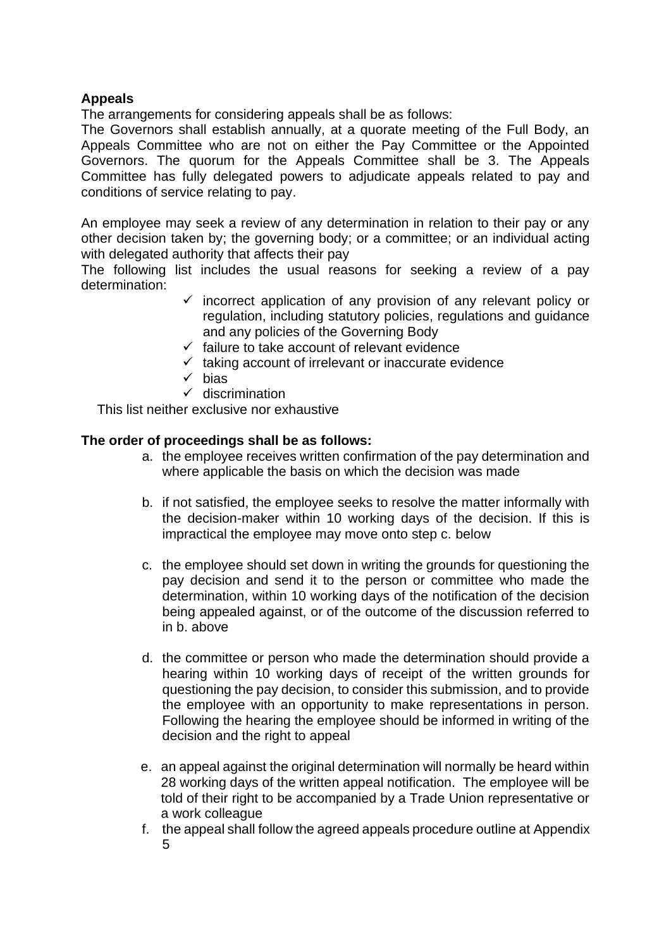# **Appeals**

The arrangements for considering appeals shall be as follows:

The Governors shall establish annually, at a quorate meeting of the Full Body, an Appeals Committee who are not on either the Pay Committee or the Appointed Governors. The quorum for the Appeals Committee shall be 3. The Appeals Committee has fully delegated powers to adjudicate appeals related to pay and conditions of service relating to pay.

An employee may seek a review of any determination in relation to their pay or any other decision taken by; the governing body; or a committee; or an individual acting with delegated authority that affects their pay

The following list includes the usual reasons for seeking a review of a pay determination:

- $\checkmark$  incorrect application of any provision of any relevant policy or regulation, including statutory policies, regulations and guidance and any policies of the Governing Body
- $\checkmark$  failure to take account of relevant evidence
- $\checkmark$  taking account of irrelevant or inaccurate evidence
- ✓ bias
- $\checkmark$  discrimination

This list neither exclusive nor exhaustive

## **The order of proceedings shall be as follows:**

- a. the employee receives written confirmation of the pay determination and where applicable the basis on which the decision was made
- b. if not satisfied, the employee seeks to resolve the matter informally with the decision-maker within 10 working days of the decision. If this is impractical the employee may move onto step c. below
- c. the employee should set down in writing the grounds for questioning the pay decision and send it to the person or committee who made the determination, within 10 working days of the notification of the decision being appealed against, or of the outcome of the discussion referred to in b. above
- d. the committee or person who made the determination should provide a hearing within 10 working days of receipt of the written grounds for questioning the pay decision, to consider this submission, and to provide the employee with an opportunity to make representations in person. Following the hearing the employee should be informed in writing of the decision and the right to appeal
- e. an appeal against the original determination will normally be heard within 28 working days of the written appeal notification. The employee will be told of their right to be accompanied by a Trade Union representative or a work colleague
- f. the appeal shall follow the agreed appeals procedure outline at Appendix 5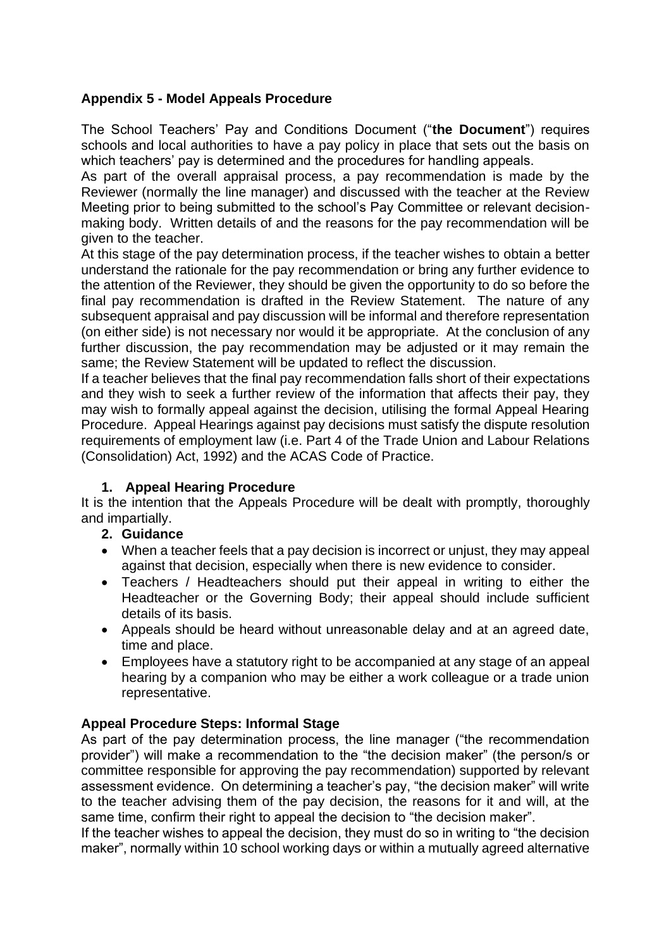# **Appendix 5 - Model Appeals Procedure**

The School Teachers' Pay and Conditions Document ("**the Document**") requires schools and local authorities to have a pay policy in place that sets out the basis on which teachers' pay is determined and the procedures for handling appeals.

As part of the overall appraisal process, a pay recommendation is made by the Reviewer (normally the line manager) and discussed with the teacher at the Review Meeting prior to being submitted to the school's Pay Committee or relevant decisionmaking body. Written details of and the reasons for the pay recommendation will be given to the teacher.

At this stage of the pay determination process, if the teacher wishes to obtain a better understand the rationale for the pay recommendation or bring any further evidence to the attention of the Reviewer, they should be given the opportunity to do so before the final pay recommendation is drafted in the Review Statement. The nature of any subsequent appraisal and pay discussion will be informal and therefore representation (on either side) is not necessary nor would it be appropriate. At the conclusion of any further discussion, the pay recommendation may be adjusted or it may remain the same; the Review Statement will be updated to reflect the discussion.

If a teacher believes that the final pay recommendation falls short of their expectations and they wish to seek a further review of the information that affects their pay, they may wish to formally appeal against the decision, utilising the formal Appeal Hearing Procedure. Appeal Hearings against pay decisions must satisfy the dispute resolution requirements of employment law (i.e. Part 4 of the Trade Union and Labour Relations (Consolidation) Act, 1992) and the ACAS Code of Practice.

# **1. Appeal Hearing Procedure**

It is the intention that the Appeals Procedure will be dealt with promptly, thoroughly and impartially.

# **2. Guidance**

- When a teacher feels that a pay decision is incorrect or unjust, they may appeal against that decision, especially when there is new evidence to consider.
- Teachers / Headteachers should put their appeal in writing to either the Headteacher or the Governing Body; their appeal should include sufficient details of its basis.
- Appeals should be heard without unreasonable delay and at an agreed date, time and place.
- Employees have a statutory right to be accompanied at any stage of an appeal hearing by a companion who may be either a work colleague or a trade union representative.

# **Appeal Procedure Steps: Informal Stage**

As part of the pay determination process, the line manager ("the recommendation provider") will make a recommendation to the "the decision maker" (the person/s or committee responsible for approving the pay recommendation) supported by relevant assessment evidence. On determining a teacher's pay, "the decision maker" will write to the teacher advising them of the pay decision, the reasons for it and will, at the same time, confirm their right to appeal the decision to "the decision maker".

If the teacher wishes to appeal the decision, they must do so in writing to "the decision maker", normally within 10 school working days or within a mutually agreed alternative